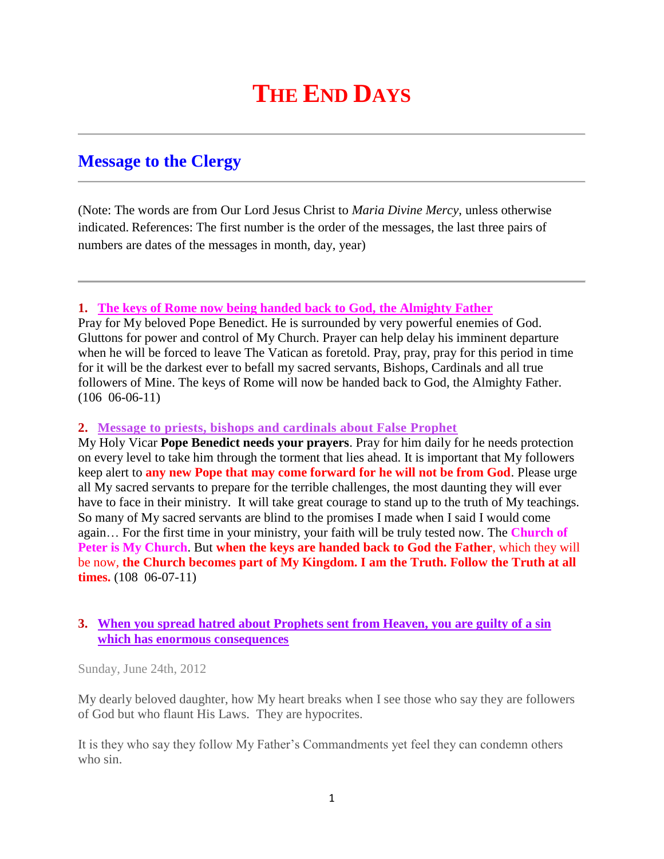# **THE END DAYS**

# **Message to the Clergy**

(Note: The words are from Our Lord Jesus Christ to *Maria Divine Mercy*, unless otherwise indicated. References: The first number is the order of the messages, the last three pairs of numbers are dates of the messages in month, day, year)

#### **1. [The keys of Rome now being handed back to God,](http://www.thewarningsecondcoming.com/the-keys-of-rome-now-being-handed-back-to-god-the-almighty-father/) the Almighty Father**

Pray for My beloved Pope Benedict. He is surrounded by very powerful enemies of God. Gluttons for power and control of My Church. Prayer can help delay his imminent departure when he will be forced to leave The Vatican as foretold. Pray, pray, pray for this period in time for it will be the darkest ever to befall my sacred servants, Bishops, Cardinals and all true followers of Mine. The keys of Rome will now be handed back to God, the Almighty Father. (106 06-06-11)

#### **2. [Message to priests, bishops and cardinals about False Prophet](http://www.thewarningsecondcoming.com/message-to-priests-bishops-and-cardinals-about-false-prophet/)**

My Holy Vicar **Pope Benedict needs your prayers**. Pray for him daily for he needs protection on every level to take him through the torment that lies ahead. It is important that My followers keep alert to **any new Pope that may come forward for he will not be from God**. Please urge all My sacred servants to prepare for the terrible challenges, the most daunting they will ever have to face in their ministry. It will take great courage to stand up to the truth of My teachings. So many of My sacred servants are blind to the promises I made when I said I would come again… For the first time in your ministry, your faith will be truly tested now. The **Church of Peter is My Church**. But **when the keys are handed back to God the Father**, which they will be now, **the Church becomes part of My Kingdom. I am the Truth. Follow the Truth at all times.** (108 06-07-11)

## **3. [When you spread hatred about Prophets sent from Heaven,](http://www.thewarningsecondcoming.com/when-you-spread-hatred-about-prophets-sent-from-heaven-you-are-guilty-of-a-sin-which-has-enormous-consequences/) you are guilty of a sin [which has enormous consequences](http://www.thewarningsecondcoming.com/when-you-spread-hatred-about-prophets-sent-from-heaven-you-are-guilty-of-a-sin-which-has-enormous-consequences/)**

Sunday, June 24th, 2012

My dearly beloved daughter, how My heart breaks when I see those who say they are followers of God but who flaunt His Laws. They are hypocrites.

It is they who say they follow My Father's Commandments yet feel they can condemn others who sin.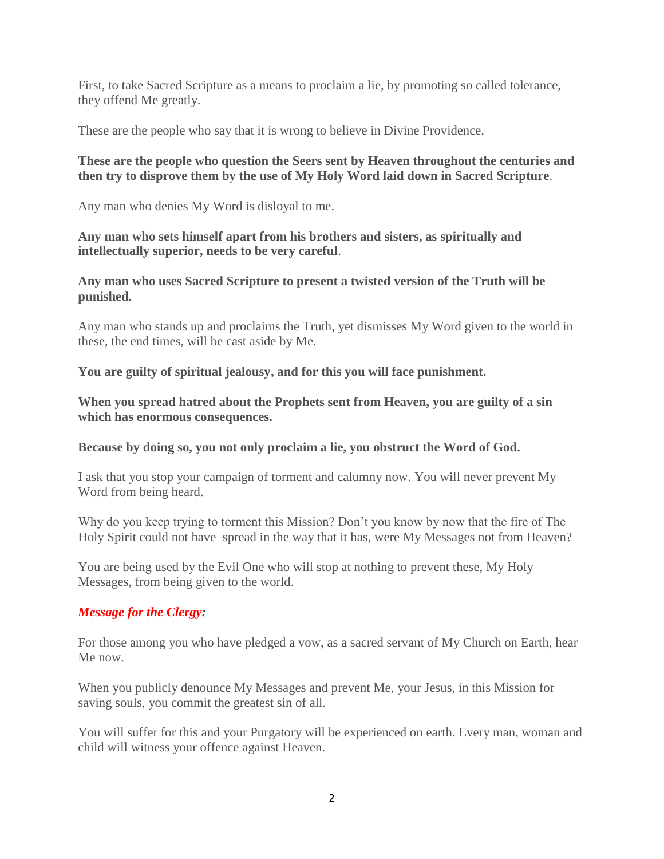First, to take Sacred Scripture as a means to proclaim a lie, by promoting so called tolerance, they offend Me greatly.

These are the people who say that it is wrong to believe in Divine Providence.

## **These are the people who question the Seers sent by Heaven throughout the centuries and then try to disprove them by the use of My Holy Word laid down in Sacred Scripture**.

Any man who denies My Word is disloyal to me.

**Any man who sets himself apart from his brothers and sisters, as spiritually and intellectually superior, needs to be very careful**.

**Any man who uses Sacred Scripture to present a twisted version of the Truth will be punished.**

Any man who stands up and proclaims the Truth, yet dismisses My Word given to the world in these, the end times, will be cast aside by Me.

**You are guilty of spiritual jealousy, and for this you will face punishment.**

**When you spread hatred about the Prophets sent from Heaven, you are guilty of a sin which has enormous consequences.**

**Because by doing so, you not only proclaim a lie, you obstruct the Word of God.**

I ask that you stop your campaign of torment and calumny now. You will never prevent My Word from being heard.

Why do you keep trying to torment this Mission? Don't you know by now that the fire of The Holy Spirit could not have spread in the way that it has, were My Messages not from Heaven?

You are being used by the Evil One who will stop at nothing to prevent these, My Holy Messages, from being given to the world.

# *Message for the Clergy:*

For those among you who have pledged a vow, as a sacred servant of My Church on Earth, hear Me now.

When you publicly denounce My Messages and prevent Me, your Jesus, in this Mission for saving souls, you commit the greatest sin of all.

You will suffer for this and your Purgatory will be experienced on earth. Every man, woman and child will witness your offence against Heaven.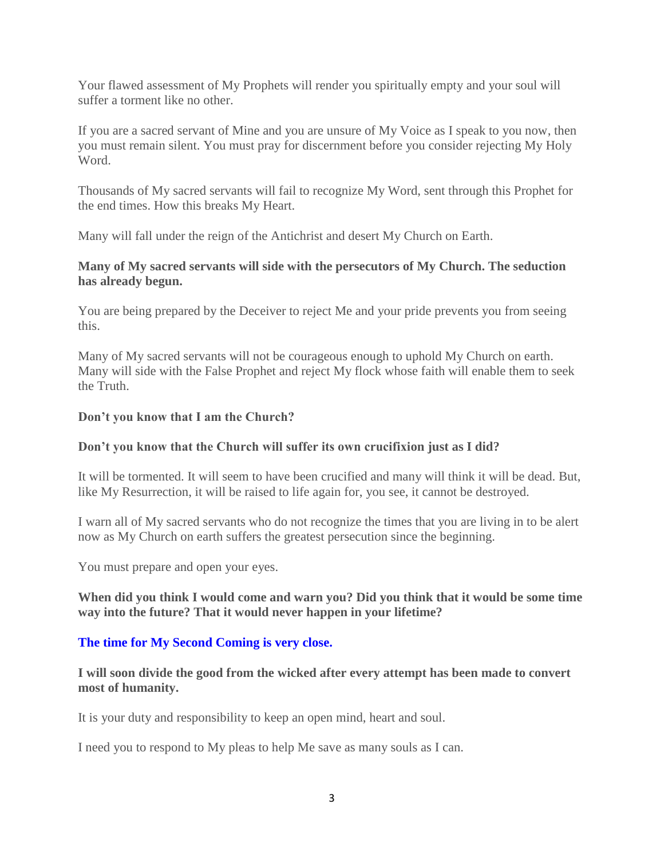Your flawed assessment of My Prophets will render you spiritually empty and your soul will suffer a torment like no other.

If you are a sacred servant of Mine and you are unsure of My Voice as I speak to you now, then you must remain silent. You must pray for discernment before you consider rejecting My Holy Word.

Thousands of My sacred servants will fail to recognize My Word, sent through this Prophet for the end times. How this breaks My Heart.

Many will fall under the reign of the Antichrist and desert My Church on Earth.

#### **Many of My sacred servants will side with the persecutors of My Church. The seduction has already begun.**

You are being prepared by the Deceiver to reject Me and your pride prevents you from seeing this.

Many of My sacred servants will not be courageous enough to uphold My Church on earth. Many will side with the False Prophet and reject My flock whose faith will enable them to seek the Truth.

#### **Don't you know that I am the Church?**

#### **Don't you know that the Church will suffer its own crucifixion just as I did?**

It will be tormented. It will seem to have been crucified and many will think it will be dead. But, like My Resurrection, it will be raised to life again for, you see, it cannot be destroyed.

I warn all of My sacred servants who do not recognize the times that you are living in to be alert now as My Church on earth suffers the greatest persecution since the beginning.

You must prepare and open your eyes.

#### **When did you think I would come and warn you? Did you think that it would be some time way into the future? That it would never happen in your lifetime?**

#### **The time for My Second Coming is very close.**

**I will soon divide the good from the wicked after every attempt has been made to convert most of humanity.**

It is your duty and responsibility to keep an open mind, heart and soul.

I need you to respond to My pleas to help Me save as many souls as I can.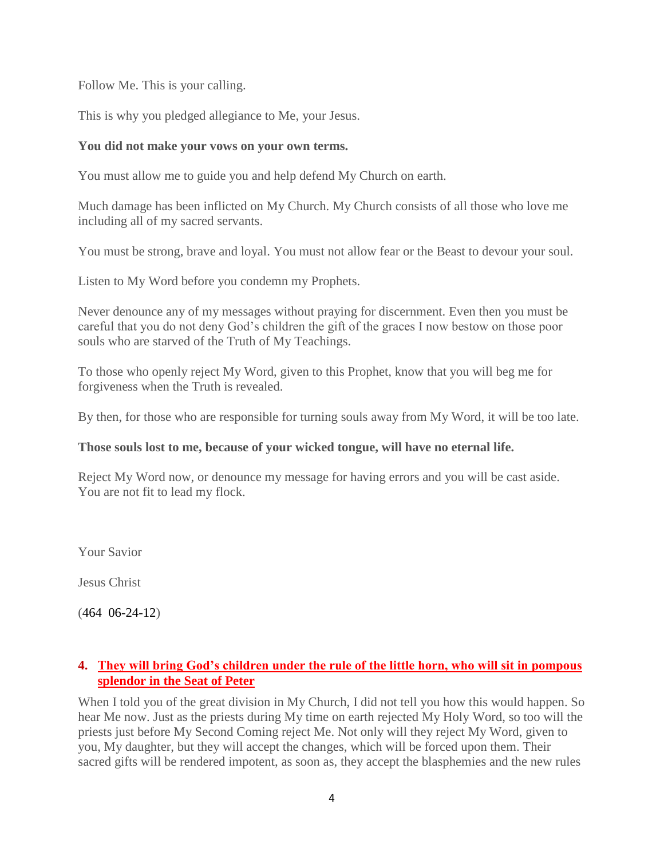Follow Me. This is your calling.

This is why you pledged allegiance to Me, your Jesus.

#### **You did not make your vows on your own terms.**

You must allow me to guide you and help defend My Church on earth.

Much damage has been inflicted on My Church. My Church consists of all those who love me including all of my sacred servants.

You must be strong, brave and loyal. You must not allow fear or the Beast to devour your soul.

Listen to My Word before you condemn my Prophets.

Never denounce any of my messages without praying for discernment. Even then you must be careful that you do not deny God's children the gift of the graces I now bestow on those poor souls who are starved of the Truth of My Teachings.

To those who openly reject My Word, given to this Prophet, know that you will beg me for forgiveness when the Truth is revealed.

By then, for those who are responsible for turning souls away from My Word, it will be too late.

#### **Those souls lost to me, because of your wicked tongue, will have no eternal life.**

Reject My Word now, or denounce my message for having errors and you will be cast aside. You are not fit to lead my flock.

Your Savior

Jesus Christ

(464 06-24-12)

## **4. [They will bring God's children under the rule of the little horn, who will sit in pompous](http://www.thewarningsecondcoming.com/they-will-bring-gods-children-under-the-rule-of-the-little-horn-who-will-sit-in-pompous-splendour-in-the-seat-of-peter/)  [splendor in the Seat of Peter](http://www.thewarningsecondcoming.com/they-will-bring-gods-children-under-the-rule-of-the-little-horn-who-will-sit-in-pompous-splendour-in-the-seat-of-peter/)**

When I told you of the great division in My Church, I did not tell you how this would happen. So hear Me now. Just as the priests during My time on earth rejected My Holy Word, so too will the priests just before My Second Coming reject Me. Not only will they reject My Word, given to you, My daughter, but they will accept the changes, which will be forced upon them. Their sacred gifts will be rendered impotent, as soon as, they accept the blasphemies and the new rules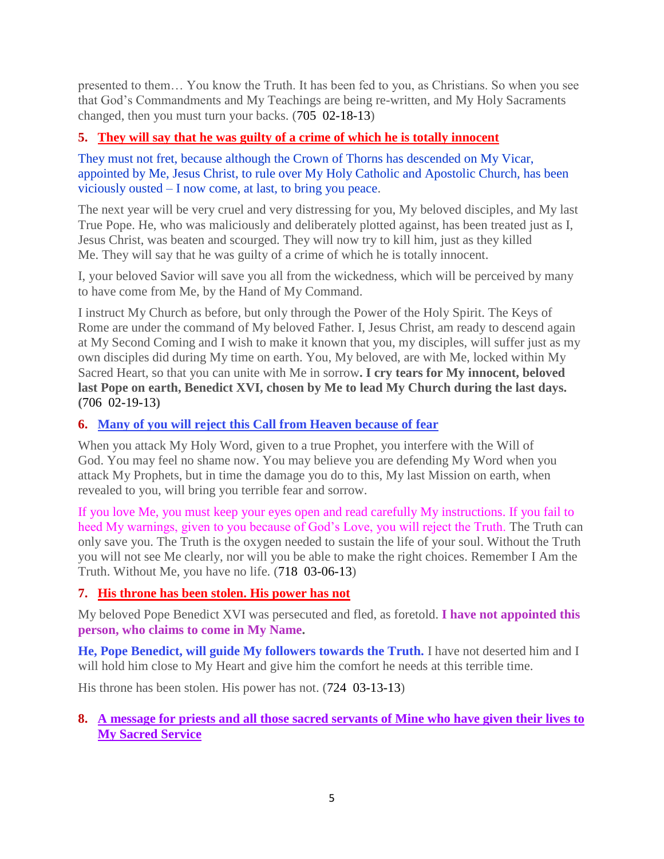presented to them… You know the Truth. It has been fed to you, as Christians. So when you see that God's Commandments and My Teachings are being re-written, and My Holy Sacraments changed, then you must turn your backs. (705 02-18-13)

# **5. [They will say that he was guilty of a crime of which he is totally innocent](http://www.thewarningsecondcoming.com/they-will-say-that-he-was-guilty-of-a-crime-of-which-he-is-totally-innocent/)**

They must not fret, because although the Crown of Thorns has descended on My Vicar, appointed by Me, Jesus Christ, to rule over My Holy Catholic and Apostolic Church, has been viciously ousted – I now come, at last, to bring you peace.

The next year will be very cruel and very distressing for you, My beloved disciples, and My last True Pope. He, who was maliciously and deliberately plotted against, has been treated just as I, Jesus Christ, was beaten and scourged. They will now try to kill him, just as they killed Me. They will say that he was guilty of a crime of which he is totally innocent.

I, your beloved Savior will save you all from the wickedness, which will be perceived by many to have come from Me, by the Hand of My Command.

I instruct My Church as before, but only through the Power of the Holy Spirit. The Keys of Rome are under the command of My beloved Father. I, Jesus Christ, am ready to descend again at My Second Coming and I wish to make it known that you, my disciples, will suffer just as my own disciples did during My time on earth. You, My beloved, are with Me, locked within My Sacred Heart, so that you can unite with Me in sorrow**. I cry tears for My innocent, beloved last Pope on earth, Benedict XVI, chosen by Me to lead My Church during the last days. (**706 02-19-13**)**

# **6. [Many of you will reject this Call from Heaven because of](http://www.thewarningsecondcoming.com/many-of-you-will-reject-this-call-from-heaven-because-of-fear/) fear**

When you attack My Holy Word, given to a true Prophet, you interfere with the Will of God. You may feel no shame now. You may believe you are defending My Word when you attack My Prophets, but in time the damage you do to this, My last Mission on earth, when revealed to you, will bring you terrible fear and sorrow.

If you love Me, you must keep your eyes open and read carefully My instructions. If you fail to heed My warnings, given to you because of God's Love, you will reject the Truth. The Truth can only save you. The Truth is the oxygen needed to sustain the life of your soul. Without the Truth you will not see Me clearly, nor will you be able to make the right choices. Remember I Am the Truth. Without Me, you have no life. (718 03-06-13)

# **7. [His throne has been stolen. His power has not](http://www.thewarningsecondcoming.com/his-throne-has-been-stolen-his-power-has-not/)**

My beloved Pope Benedict XVI was persecuted and fled, as foretold. **I have not appointed this person, who claims to come in My Name.**

**He, Pope Benedict, will guide My followers towards the Truth.** I have not deserted him and I will hold him close to My Heart and give him the comfort he needs at this terrible time.

His throne has been stolen. His power has not. (724 03-13-13)

## **8. [A message for priests and all those sacred servants of Mine who have given their lives to](http://www.thewarningsecondcoming.com/a-message-for-priests-and-all-those-sacred-servants-of-mine-who-have-given-their-lives-to-my-sacred-service/)  [My Sacred Service](http://www.thewarningsecondcoming.com/a-message-for-priests-and-all-those-sacred-servants-of-mine-who-have-given-their-lives-to-my-sacred-service/)**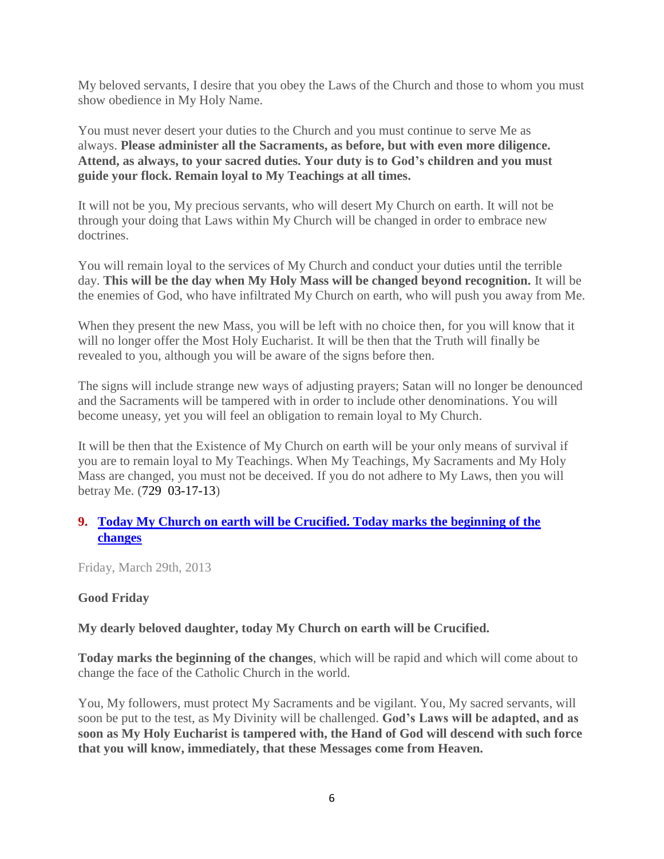My beloved servants, I desire that you obey the Laws of the Church and those to whom you must show obedience in My Holy Name.

You must never desert your duties to the Church and you must continue to serve Me as always. **Please administer all the Sacraments, as before, but with even more diligence. Attend, as always, to your sacred duties. Your duty is to God's children and you must guide your flock. Remain loyal to My Teachings at all times.**

It will not be you, My precious servants, who will desert My Church on earth. It will not be through your doing that Laws within My Church will be changed in order to embrace new doctrines.

You will remain loyal to the services of My Church and conduct your duties until the terrible day. **This will be the day when My Holy Mass will be changed beyond recognition.** It will be the enemies of God, who have infiltrated My Church on earth, who will push you away from Me.

When they present the new Mass, you will be left with no choice then, for you will know that it will no longer offer the Most Holy Eucharist. It will be then that the Truth will finally be revealed to you, although you will be aware of the signs before then.

The signs will include strange new ways of adjusting prayers; Satan will no longer be denounced and the Sacraments will be tampered with in order to include other denominations. You will become uneasy, yet you will feel an obligation to remain loyal to My Church.

It will be then that the Existence of My Church on earth will be your only means of survival if you are to remain loyal to My Teachings. When My Teachings, My Sacraments and My Holy Mass are changed, you must not be deceived. If you do not adhere to My Laws, then you will betray Me. (729 03-17-13)

# **9. [Today My Church on earth will be Crucified. Today marks the beginning of the](http://www.thewarningsecondcoming.com/today-my-church-on-earth-will-be-crucified-today-marks-the-beginning-of-the-changes/)  [changes](http://www.thewarningsecondcoming.com/today-my-church-on-earth-will-be-crucified-today-marks-the-beginning-of-the-changes/)**

Friday, March 29th, 2013

## **Good Friday**

**My dearly beloved daughter, today My Church on earth will be Crucified.**

**Today marks the beginning of the changes**, which will be rapid and which will come about to change the face of the Catholic Church in the world.

You, My followers, must protect My Sacraments and be vigilant. You, My sacred servants, will soon be put to the test, as My Divinity will be challenged. **God's Laws will be adapted, and as soon as My Holy Eucharist is tampered with, the Hand of God will descend with such force that you will know, immediately, that these Messages come from Heaven.**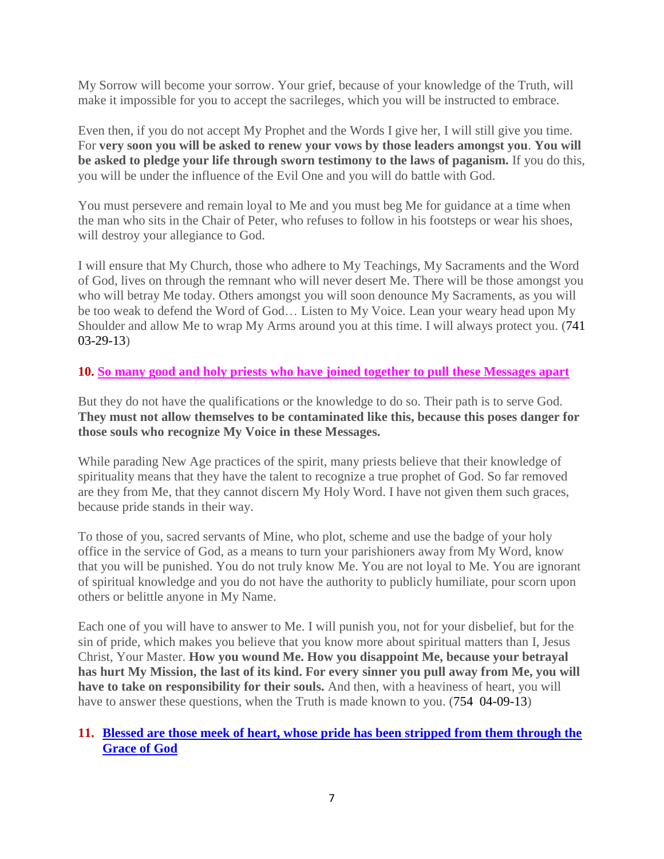My Sorrow will become your sorrow. Your grief, because of your knowledge of the Truth, will make it impossible for you to accept the sacrileges, which you will be instructed to embrace.

Even then, if you do not accept My Prophet and the Words I give her, I will still give you time. For **very soon you will be asked to renew your vows by those leaders amongst you**. **You will be asked to pledge your life through sworn testimony to the laws of paganism.** If you do this, you will be under the influence of the Evil One and you will do battle with God.

You must persevere and remain loyal to Me and you must beg Me for guidance at a time when the man who sits in the Chair of Peter, who refuses to follow in his footsteps or wear his shoes, will destroy your allegiance to God.

I will ensure that My Church, those who adhere to My Teachings, My Sacraments and the Word of God, lives on through the remnant who will never desert Me. There will be those amongst you who will betray Me today. Others amongst you will soon denounce My Sacraments, as you will be too weak to defend the Word of God… Listen to My Voice. Lean your weary head upon My Shoulder and allow Me to wrap My Arms around you at this time. I will always protect you. (741 03-29-13)

## **10. [So many good and holy priests who have joined together to pull these Messages apart](http://www.thewarningsecondcoming.com/so-many-good-and-holy-priests-who-have-joined-together-to-pull-these-messages-apart/)**

But they do not have the qualifications or the knowledge to do so. Their path is to serve God. **They must not allow themselves to be contaminated like this, because this poses danger for those souls who recognize My Voice in these Messages.**

While parading New Age practices of the spirit, many priests believe that their knowledge of spirituality means that they have the talent to recognize a true prophet of God. So far removed are they from Me, that they cannot discern My Holy Word. I have not given them such graces, because pride stands in their way.

To those of you, sacred servants of Mine, who plot, scheme and use the badge of your holy office in the service of God, as a means to turn your parishioners away from My Word, know that you will be punished. You do not truly know Me. You are not loyal to Me. You are ignorant of spiritual knowledge and you do not have the authority to publicly humiliate, pour scorn upon others or belittle anyone in My Name.

Each one of you will have to answer to Me. I will punish you, not for your disbelief, but for the sin of pride, which makes you believe that you know more about spiritual matters than I, Jesus Christ, Your Master. **How you wound Me. How you disappoint Me, because your betrayal has hurt My Mission, the last of its kind. For every sinner you pull away from Me, you will have to take on responsibility for their souls.** And then, with a heaviness of heart, you will have to answer these questions, when the Truth is made known to you. (754 04-09-13)

# **11. [Blessed are those meek of heart, whose pride has been stripped from them through the](http://www.thewarningsecondcoming.com/blessed-are-those-meek-of-heart-whose-pride-has-been-stripped-from-them-through-the-grace-of-god/)  [Grace of God](http://www.thewarningsecondcoming.com/blessed-are-those-meek-of-heart-whose-pride-has-been-stripped-from-them-through-the-grace-of-god/)**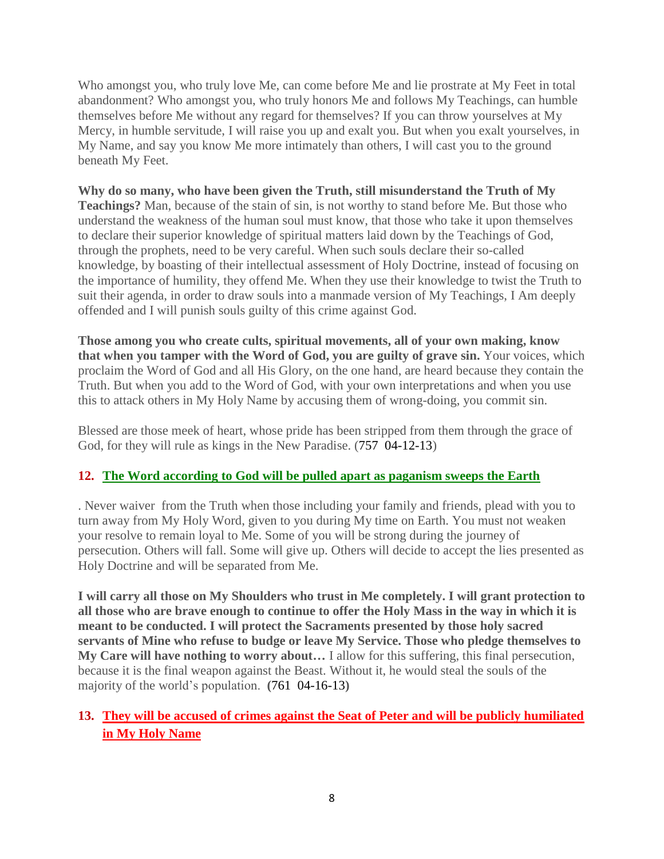Who amongst you, who truly love Me, can come before Me and lie prostrate at My Feet in total abandonment? Who amongst you, who truly honors Me and follows My Teachings, can humble themselves before Me without any regard for themselves? If you can throw yourselves at My Mercy, in humble servitude, I will raise you up and exalt you. But when you exalt yourselves, in My Name, and say you know Me more intimately than others, I will cast you to the ground beneath My Feet.

**Why do so many, who have been given the Truth, still misunderstand the Truth of My Teachings?** Man, because of the stain of sin, is not worthy to stand before Me. But those who understand the weakness of the human soul must know, that those who take it upon themselves to declare their superior knowledge of spiritual matters laid down by the Teachings of God, through the prophets, need to be very careful. When such souls declare their so-called knowledge, by boasting of their intellectual assessment of Holy Doctrine, instead of focusing on the importance of humility, they offend Me. When they use their knowledge to twist the Truth to suit their agenda, in order to draw souls into a manmade version of My Teachings, I Am deeply offended and I will punish souls guilty of this crime against God.

**Those among you who create cults, spiritual movements, all of your own making, know that when you tamper with the Word of God, you are guilty of grave sin.** Your voices, which proclaim the Word of God and all His Glory, on the one hand, are heard because they contain the Truth. But when you add to the Word of God, with your own interpretations and when you use this to attack others in My Holy Name by accusing them of wrong-doing, you commit sin.

Blessed are those meek of heart, whose pride has been stripped from them through the grace of God, for they will rule as kings in the New Paradise. (757 04-12-13)

## **12. [The Word according to God will be pulled apart as paganism sweeps the Earth](http://www.thewarningsecondcoming.com/the-word-according-to-god-will-be-pulled-apart-as-paganism-sweeps-the-earth/)**

. Never waiver from the Truth when those including your family and friends, plead with you to turn away from My Holy Word, given to you during My time on Earth. You must not weaken your resolve to remain loyal to Me. Some of you will be strong during the journey of persecution. Others will fall. Some will give up. Others will decide to accept the lies presented as Holy Doctrine and will be separated from Me.

**I will carry all those on My Shoulders who trust in Me completely. I will grant protection to all those who are brave enough to continue to offer the Holy Mass in the way in which it is meant to be conducted. I will protect the Sacraments presented by those holy sacred servants of Mine who refuse to budge or leave My Service. Those who pledge themselves to My Care will have nothing to worry about…** I allow for this suffering, this final persecution, because it is the final weapon against the Beast. Without it, he would steal the souls of the majority of the world's population. **(**761 04-16-13**)**

# **13. [They will be accused of crimes against the Seat of Peter and will be publicly humiliated](http://www.thewarningsecondcoming.com/they-will-be-accused-of-crimes-against-the-seat-of-peter-and-will-be-publicly-humiliated-in-my-holy-name/)  [in My Holy Name](http://www.thewarningsecondcoming.com/they-will-be-accused-of-crimes-against-the-seat-of-peter-and-will-be-publicly-humiliated-in-my-holy-name/)**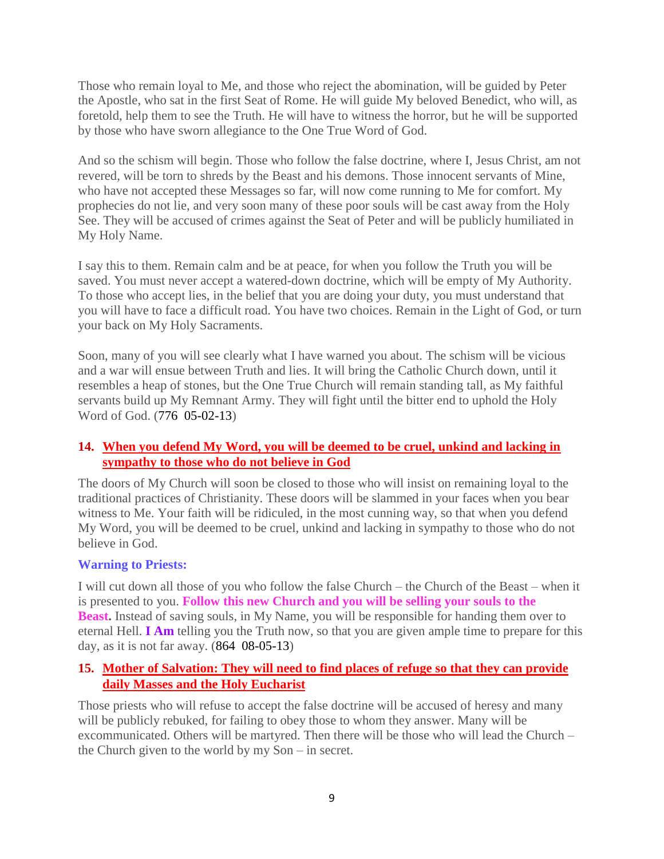Those who remain loyal to Me, and those who reject the abomination, will be guided by Peter the Apostle, who sat in the first Seat of Rome. He will guide My beloved Benedict, who will, as foretold, help them to see the Truth. He will have to witness the horror, but he will be supported by those who have sworn allegiance to the One True Word of God.

And so the schism will begin. Those who follow the false doctrine, where I, Jesus Christ, am not revered, will be torn to shreds by the Beast and his demons. Those innocent servants of Mine, who have not accepted these Messages so far, will now come running to Me for comfort. My prophecies do not lie, and very soon many of these poor souls will be cast away from the Holy See. They will be accused of crimes against the Seat of Peter and will be publicly humiliated in My Holy Name.

I say this to them. Remain calm and be at peace, for when you follow the Truth you will be saved. You must never accept a watered-down doctrine, which will be empty of My Authority. To those who accept lies, in the belief that you are doing your duty, you must understand that you will have to face a difficult road. You have two choices. Remain in the Light of God, or turn your back on My Holy Sacraments.

Soon, many of you will see clearly what I have warned you about. The schism will be vicious and a war will ensue between Truth and lies. It will bring the Catholic Church down, until it resembles a heap of stones, but the One True Church will remain standing tall, as My faithful servants build up My Remnant Army. They will fight until the bitter end to uphold the Holy Word of God. (776 05-02-13)

## **14. [When you defend My Word, you will be deemed to be cruel, unkind and lacking in](http://www.thewarningsecondcoming.com/when-you-defend-my-word-you-will-be-deemed-to-be-cruel-unkind-and-lacking-in-sympathy-to-those-who-do-not-believe-in-god/)  [sympathy to those who do not believe in God](http://www.thewarningsecondcoming.com/when-you-defend-my-word-you-will-be-deemed-to-be-cruel-unkind-and-lacking-in-sympathy-to-those-who-do-not-believe-in-god/)**

The doors of My Church will soon be closed to those who will insist on remaining loyal to the traditional practices of Christianity. These doors will be slammed in your faces when you bear witness to Me. Your faith will be ridiculed, in the most cunning way, so that when you defend My Word, you will be deemed to be cruel, unkind and lacking in sympathy to those who do not believe in God.

## **Warning to Priests:**

I will cut down all those of you who follow the false Church – the Church of the Beast – when it is presented to you. **Follow this new Church and you will be selling your souls to the Beast.** Instead of saving souls, in My Name, you will be responsible for handing them over to eternal Hell. **I Am** telling you the Truth now, so that you are given ample time to prepare for this day, as it is not far away. (864 08-05-13)

## **15. [Mother of Salvation: They will need to find places of refuge so that they can provide](http://www.thewarningsecondcoming.com/mother-of-salvation-they-will-need-to-find-places-of-refuge-so-that-they-can-provide-daily-masses-and-the-holy-eucharist/)  [daily Masses and the Holy Eucharist](http://www.thewarningsecondcoming.com/mother-of-salvation-they-will-need-to-find-places-of-refuge-so-that-they-can-provide-daily-masses-and-the-holy-eucharist/)**

Those priests who will refuse to accept the false doctrine will be accused of heresy and many will be publicly rebuked, for failing to obey those to whom they answer. Many will be excommunicated. Others will be martyred. Then there will be those who will lead the Church – the Church given to the world by my Son – in secret.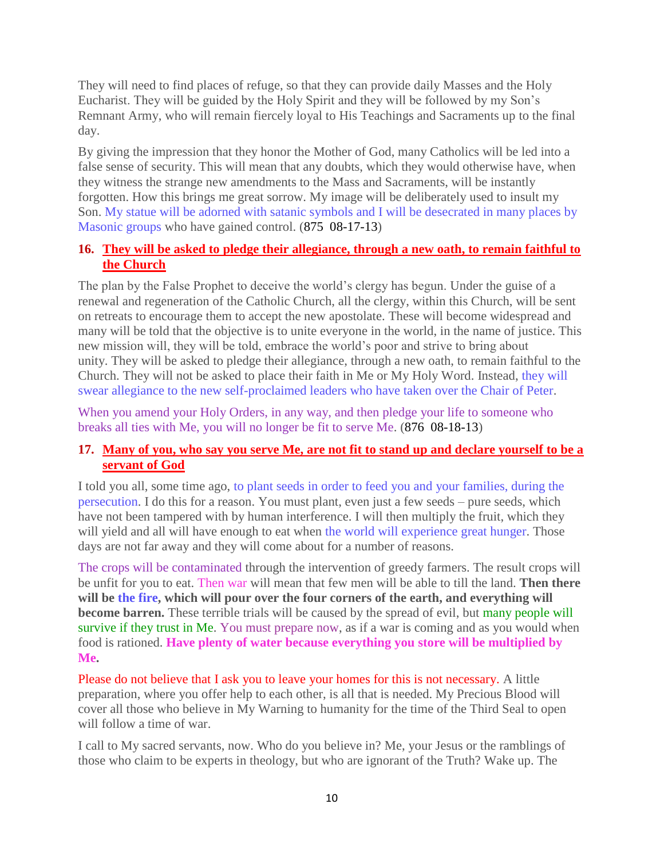They will need to find places of refuge, so that they can provide daily Masses and the Holy Eucharist. They will be guided by the Holy Spirit and they will be followed by my Son's Remnant Army, who will remain fiercely loyal to His Teachings and Sacraments up to the final day.

By giving the impression that they honor the Mother of God, many Catholics will be led into a false sense of security. This will mean that any doubts, which they would otherwise have, when they witness the strange new amendments to the Mass and Sacraments, will be instantly forgotten. How this brings me great sorrow. My image will be deliberately used to insult my Son. My statue will be adorned with satanic symbols and I will be desecrated in many places by Masonic groups who have gained control. (875 08-17-13)

# **16. [They will be asked to pledge their allegiance, through a new oath, to remain faithful to](http://www.thewarningsecondcoming.com/they-will-be-asked-to-pledge-their-allegiance-through-a-new-oath-to-remain-faithful-to-the-church/)  [the Church](http://www.thewarningsecondcoming.com/they-will-be-asked-to-pledge-their-allegiance-through-a-new-oath-to-remain-faithful-to-the-church/)**

The plan by the False Prophet to deceive the world's clergy has begun. Under the guise of a renewal and regeneration of the Catholic Church, all the clergy, within this Church, will be sent on retreats to encourage them to accept the new apostolate. These will become widespread and many will be told that the objective is to unite everyone in the world, in the name of justice. This new mission will, they will be told, embrace the world's poor and strive to bring about unity. They will be asked to pledge their allegiance, through a new oath, to remain faithful to the Church. They will not be asked to place their faith in Me or My Holy Word. Instead, they will swear allegiance to the new self-proclaimed leaders who have taken over the Chair of Peter.

When you amend your Holy Orders, in any way, and then pledge your life to someone who breaks all ties with Me, you will no longer be fit to serve Me. (876 08-18-13)

## **17. [Many of you, who say you serve Me, are not fit to stand up and declare yourself to be a](http://www.thewarningsecondcoming.com/many-of-you-who-say-you-serve-me-are-not-fit-to-stand-up-and-declare-yourself-to-be-a-servant-of-god/)  [servant of God](http://www.thewarningsecondcoming.com/many-of-you-who-say-you-serve-me-are-not-fit-to-stand-up-and-declare-yourself-to-be-a-servant-of-god/)**

I told you all, some time ago, to plant seeds in order to feed you and your families, during the persecution. I do this for a reason. You must plant, even just a few seeds – pure seeds, which have not been tampered with by human interference. I will then multiply the fruit, which they will yield and all will have enough to eat when the world will experience great hunger. Those days are not far away and they will come about for a number of reasons.

The crops will be contaminated through the intervention of greedy farmers. The result crops will be unfit for you to eat. Then war will mean that few men will be able to till the land. **Then there**  will be the fire, which will pour over the four corners of the earth, and everything will **become barren.** These terrible trials will be caused by the spread of evil, but many people will survive if they trust in Me. You must prepare now, as if a war is coming and as you would when food is rationed. **Have plenty of water because everything you store will be multiplied by Me.**

Please do not believe that I ask you to leave your homes for this is not necessary. A little preparation, where you offer help to each other, is all that is needed. My Precious Blood will cover all those who believe in My Warning to humanity for the time of the Third Seal to open will follow a time of war.

I call to My sacred servants, now. Who do you believe in? Me, your Jesus or the ramblings of those who claim to be experts in theology, but who are ignorant of the Truth? Wake up. The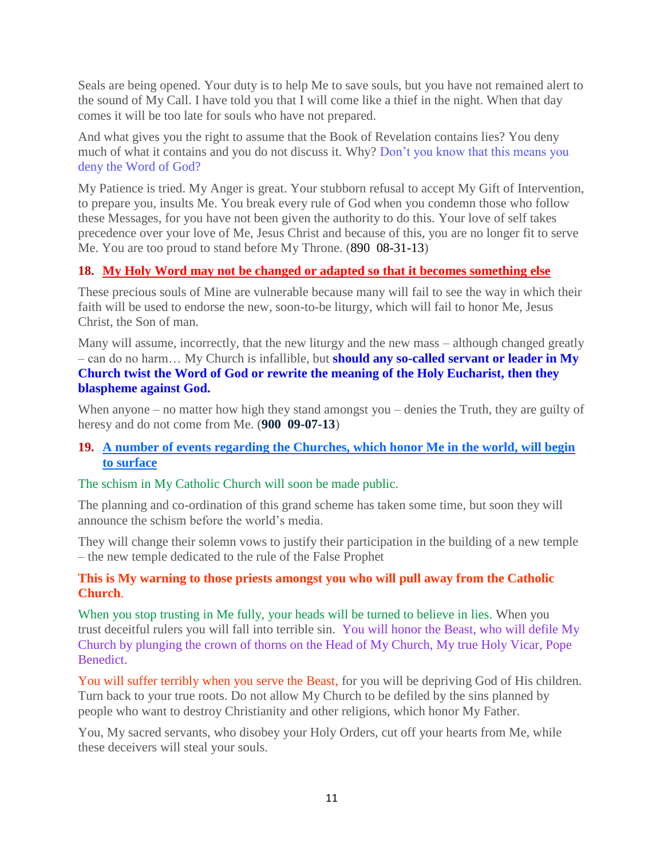Seals are being opened. Your duty is to help Me to save souls, but you have not remained alert to the sound of My Call. I have told you that I will come like a thief in the night. When that day comes it will be too late for souls who have not prepared.

And what gives you the right to assume that the Book of Revelation contains lies? You deny much of what it contains and you do not discuss it. Why? Don't you know that this means you deny the Word of God?

My Patience is tried. My Anger is great. Your stubborn refusal to accept My Gift of Intervention, to prepare you, insults Me. You break every rule of God when you condemn those who follow these Messages, for you have not been given the authority to do this. Your love of self takes precedence over your love of Me, Jesus Christ and because of this, you are no longer fit to serve Me. You are too proud to stand before My Throne. (890 08-31-13)

# **18. [My Holy Word may not be changed or adapted so that it becomes something else](http://www.thewarningsecondcoming.com/my-holy-word-may-not-be-changed-or-adapted-so-that-it-becomes-something-else/)**

These precious souls of Mine are vulnerable because many will fail to see the way in which their faith will be used to endorse the new, soon-to-be liturgy, which will fail to honor Me, Jesus Christ, the Son of man.

Many will assume, incorrectly, that the new liturgy and the new mass – although changed greatly – can do no harm… My Church is infallible, but **should any so-called servant or leader in My Church twist the Word of God or rewrite the meaning of the Holy Eucharist, then they blaspheme against God.**

When anyone – no matter how high they stand amongst you – denies the Truth, they are guilty of heresy and do not come from Me. (**900 09-07-13**)

# **19. [A number of events regarding the Churches, which honor Me in the world, will begin](http://www.thewarningsecondcoming.com/a-number-of-events-regarding-the-churches-which-honor-me-in-the-world-will-begin-to-surface/)  [to surface](http://www.thewarningsecondcoming.com/a-number-of-events-regarding-the-churches-which-honor-me-in-the-world-will-begin-to-surface/)**

## The schism in My Catholic Church will soon be made public.

The planning and co-ordination of this grand scheme has taken some time, but soon they will announce the schism before the world's media.

They will change their solemn vows to justify their participation in the building of a new temple – the new temple dedicated to the rule of the False Prophet

#### **This is My warning to those priests amongst you who will pull away from the Catholic Church**.

When you stop trusting in Me fully, your heads will be turned to believe in lies. When you trust deceitful rulers you will fall into terrible sin. You will honor the Beast, who will defile My Church by plunging the crown of thorns on the Head of My Church, My true Holy Vicar, Pope Benedict.

You will suffer terribly when you serve the Beast, for you will be depriving God of His children. Turn back to your true roots. Do not allow My Church to be defiled by the sins planned by people who want to destroy Christianity and other religions, which honor My Father.

You, My sacred servants, who disobey your Holy Orders, cut off your hearts from Me, while these deceivers will steal your souls.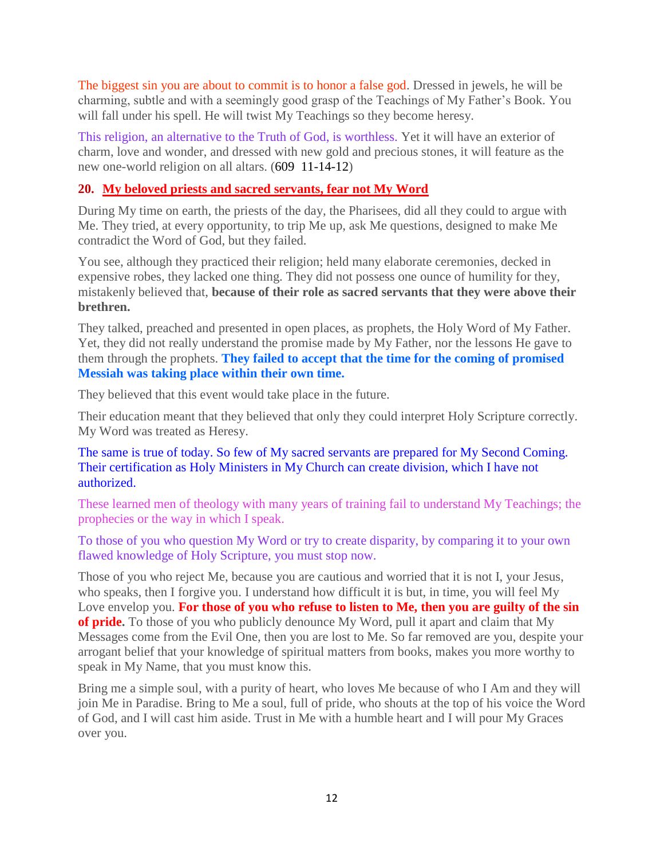The biggest sin you are about to commit is to honor a false god. Dressed in jewels, he will be charming, subtle and with a seemingly good grasp of the Teachings of My Father's Book. You will fall under his spell. He will twist My Teachings so they become heresy.

This religion, an alternative to the Truth of God, is worthless. Yet it will have an exterior of charm, love and wonder, and dressed with new gold and precious stones, it will feature as the new one-world religion on all altars. (609 11-14-12)

# **20. [My beloved priests and sacred servants, fear not My Word](http://www.thewarningsecondcoming.com/my-beloved-priests-and-sacred-servants-fear-not-my-word/)**

During My time on earth, the priests of the day, the Pharisees, did all they could to argue with Me. They tried, at every opportunity, to trip Me up, ask Me questions, designed to make Me contradict the Word of God, but they failed.

You see, although they practiced their religion; held many elaborate ceremonies, decked in expensive robes, they lacked one thing. They did not possess one ounce of humility for they, mistakenly believed that, **because of their role as sacred servants that they were above their brethren.**

They talked, preached and presented in open places, as prophets, the Holy Word of My Father. Yet, they did not really understand the promise made by My Father, nor the lessons He gave to them through the prophets. **They failed to accept that the time for the coming of promised Messiah was taking place within their own time.**

They believed that this event would take place in the future.

Their education meant that they believed that only they could interpret Holy Scripture correctly. My Word was treated as Heresy.

#### The same is true of today. So few of My sacred servants are prepared for My Second Coming. Their certification as Holy Ministers in My Church can create division, which I have not authorized.

These learned men of theology with many years of training fail to understand My Teachings; the prophecies or the way in which I speak.

To those of you who question My Word or try to create disparity, by comparing it to your own flawed knowledge of Holy Scripture, you must stop now.

Those of you who reject Me, because you are cautious and worried that it is not I, your Jesus, who speaks, then I forgive you. I understand how difficult it is but, in time, you will feel My Love envelop you. **For those of you who refuse to listen to Me, then you are guilty of the sin of pride.** To those of you who publicly denounce My Word, pull it apart and claim that My Messages come from the Evil One, then you are lost to Me. So far removed are you, despite your arrogant belief that your knowledge of spiritual matters from books, makes you more worthy to speak in My Name, that you must know this.

Bring me a simple soul, with a purity of heart, who loves Me because of who I Am and they will join Me in Paradise. Bring to Me a soul, full of pride, who shouts at the top of his voice the Word of God, and I will cast him aside. Trust in Me with a humble heart and I will pour My Graces over you.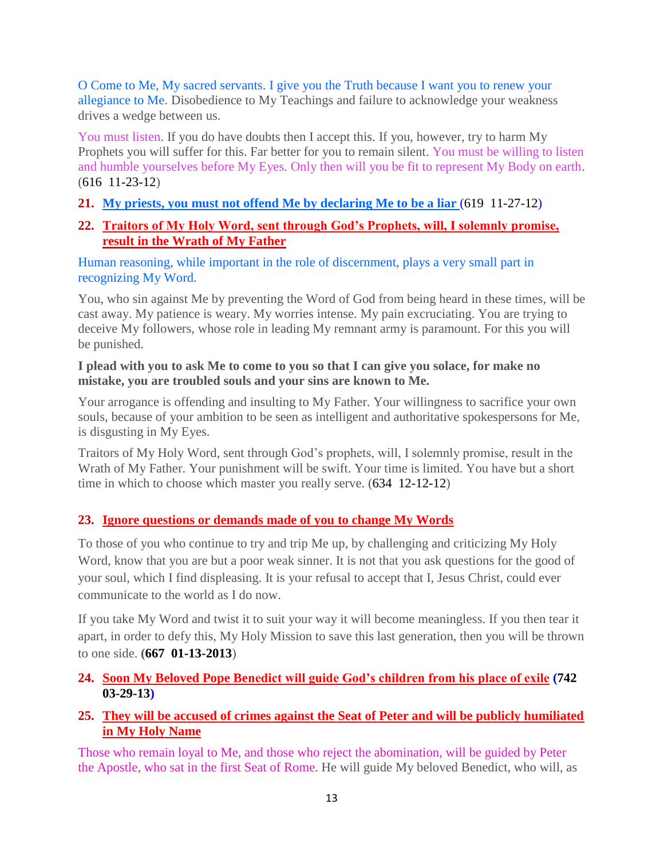O Come to Me, My sacred servants. I give you the Truth because I want you to renew your allegiance to Me. Disobedience to My Teachings and failure to acknowledge your weakness drives a wedge between us.

You must listen. If you do have doubts then I accept this. If you, however, try to harm My Prophets you will suffer for this. Far better for you to remain silent. You must be willing to listen and humble yourselves before My Eyes. Only then will you be fit to represent My Body on earth. (616 11-23-12)

**21. [My priests, you must not offend Me by declaring Me to](http://www.thewarningsecondcoming.com/my-priests-you-must-not-offend-me-by-declaring-me-to-be-a-liar/) be a liar** (619 11-27-12)

# **22. [Traitors of My Holy Word, sent through God's Prophets, will, I solemnly promise,](http://www.thewarningsecondcoming.com/traitors-of-my-holy-word-sent-through-gods-prophets-will-i-solemnly-promise-result-in-the-wrath-of-my-father/)  [result in the Wrath of My Father](http://www.thewarningsecondcoming.com/traitors-of-my-holy-word-sent-through-gods-prophets-will-i-solemnly-promise-result-in-the-wrath-of-my-father/)**

Human reasoning, while important in the role of discernment, plays a very small part in recognizing My Word.

You, who sin against Me by preventing the Word of God from being heard in these times, will be cast away. My patience is weary. My worries intense. My pain excruciating. You are trying to deceive My followers, whose role in leading My remnant army is paramount. For this you will be punished.

#### **I plead with you to ask Me to come to you so that I can give you solace, for make no mistake, you are troubled souls and your sins are known to Me.**

Your arrogance is offending and insulting to My Father. Your willingness to sacrifice your own souls, because of your ambition to be seen as intelligent and authoritative spokespersons for Me, is disgusting in My Eyes.

Traitors of My Holy Word, sent through God's prophets, will, I solemnly promise, result in the Wrath of My Father. Your punishment will be swift. Your time is limited. You have but a short time in which to choose which master you really serve. (634 12-12-12)

# **23. [Ignore questions or demands made of you to change My Words](http://www.thewarningsecondcoming.com/ignore-questions-or-demands-made-of-you-to-)**

To those of you who continue to try and trip Me up, by challenging and criticizing My Holy Word, know that you are but a poor weak sinner. It is not that you ask questions for the good of your soul, which I find displeasing. It is your refusal to accept that I, Jesus Christ, could ever communicate to the world as I do now.

If you take My Word and twist it to suit your way it will become meaningless. If you then tear it apart, in order to defy this, My Holy Mission to save this last generation, then you will be thrown to one side. **(667 01-13-2013**)

# **24. [Soon My Beloved Pope Benedict will guide God's children from his place of exile](http://www.thewarningsecondcoming.com/soon-my-beloved-pope-benedict-will-guide-gods-children-from-his-place-of-exile/) (742 03-29-13)**

# **25. [They will be accused of crimes against the Seat of Peter and will be publicly humiliated](http://www.thewarningsecondcoming.com/they-will-be-accused-of-crimes-against-the-seat-of-peter-and-will-be-publicly-humiliated-in-my-holy-name/)  [in My Holy Name](http://www.thewarningsecondcoming.com/they-will-be-accused-of-crimes-against-the-seat-of-peter-and-will-be-publicly-humiliated-in-my-holy-name/)**

Those who remain loyal to Me, and those who reject the abomination, will be guided by Peter the Apostle, who sat in the first Seat of Rome. He will guide My beloved Benedict, who will, as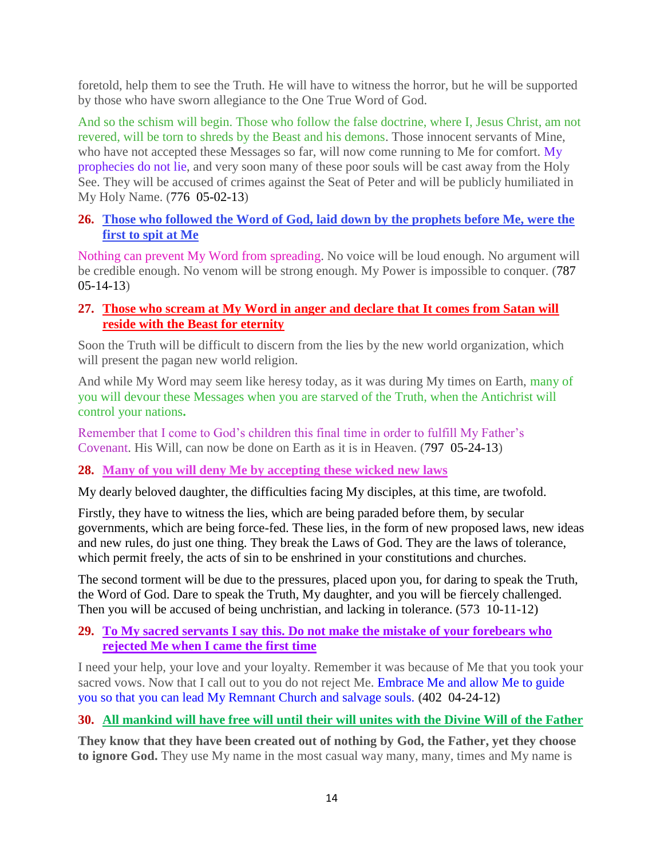foretold, help them to see the Truth. He will have to witness the horror, but he will be supported by those who have sworn allegiance to the One True Word of God.

And so the schism will begin. Those who follow the false doctrine, where I, Jesus Christ, am not revered, will be torn to shreds by the Beast and his demons. Those innocent servants of Mine, who have not accepted these Messages so far, will now come running to Me for comfort. My prophecies do not lie, and very soon many of these poor souls will be cast away from the Holy See. They will be accused of crimes against the Seat of Peter and will be publicly humiliated in My Holy Name. (776 05-02-13)

# **26. [Those who followed the Word of God, laid down by the prophets before Me, were the](http://www.thewarningsecondcoming.com/those-who-followed-the-word-of-god-laid-down-by-the-prophets-before-me-were-the-first-to-spit-at-me/)  [first to spit at Me](http://www.thewarningsecondcoming.com/those-who-followed-the-word-of-god-laid-down-by-the-prophets-before-me-were-the-first-to-spit-at-me/)**

Nothing can prevent My Word from spreading. No voice will be loud enough. No argument will be credible enough. No venom will be strong enough. My Power is impossible to conquer. (787 05-14-13)

# **27. [Those who scream at My Word in anger and declare that It comes from Satan will](http://www.thewarningsecondcoming.com/those-who-scream-at-my-word-in-anger-and-declare-that-it-comes-from-satan-will-reside-with-the-beast-for-eternity/)  [reside with the Beast for eternity](http://www.thewarningsecondcoming.com/those-who-scream-at-my-word-in-anger-and-declare-that-it-comes-from-satan-will-reside-with-the-beast-for-eternity/)**

Soon the Truth will be difficult to discern from the lies by the new world organization, which will present the pagan new world religion.

And while My Word may seem like heresy today, as it was during My times on Earth, many of you will devour these Messages when you are starved of the Truth, when the Antichrist will control your nations**.**

Remember that I come to God's children this final time in order to fulfill My Father's Covenant. His Will, can now be done on Earth as it is in Heaven. (797 05-24-13)

# **28. [Many of you will deny Me by accepting these wicked new laws](http://www.thewarningsecondcoming.com/many-of-you-will-deny-me-by-accepting-these-wicked-new-laws/)**

My dearly beloved daughter, the difficulties facing My disciples, at this time, are twofold.

Firstly, they have to witness the lies, which are being paraded before them, by secular governments, which are being force-fed. These lies, in the form of new proposed laws, new ideas and new rules, do just one thing. They break the Laws of God. They are the laws of tolerance, which permit freely, the acts of sin to be enshrined in your constitutions and churches.

The second torment will be due to the pressures, placed upon you, for daring to speak the Truth, the Word of God. Dare to speak the Truth, My daughter, and you will be fiercely challenged. Then you will be accused of being unchristian, and lacking in tolerance. (573 10-11-12)

# **29. [To My sacred servants I say this. Do not make the mistake of your forebears who](http://www.thewarningsecondcoming.com/to-my-sacred-servants-i-say-this-do-not-make-the-mistake-of-your-forebears-who-rejected-me-when-i-came-the-first-time/)  [rejected Me when I came the first time](http://www.thewarningsecondcoming.com/to-my-sacred-servants-i-say-this-do-not-make-the-mistake-of-your-forebears-who-rejected-me-when-i-came-the-first-time/)**

I need your help, your love and your loyalty. Remember it was because of Me that you took your sacred vows. Now that I call out to you do not reject Me. Embrace Me and allow Me to guide you so that you can lead My Remnant Church and salvage souls. **(**402 04-24-12**)**

# **30. [All mankind will have free will until their will unites with the Divine Will of the Father](http://www.thewarningsecondcoming.com/all-mankind-will-have-free-will-until-their-will-unites-with-the-divine-will-of-the-father/)**

**They know that they have been created out of nothing by God, the Father, yet they choose to ignore God.** They use My name in the most casual way many, many, times and My name is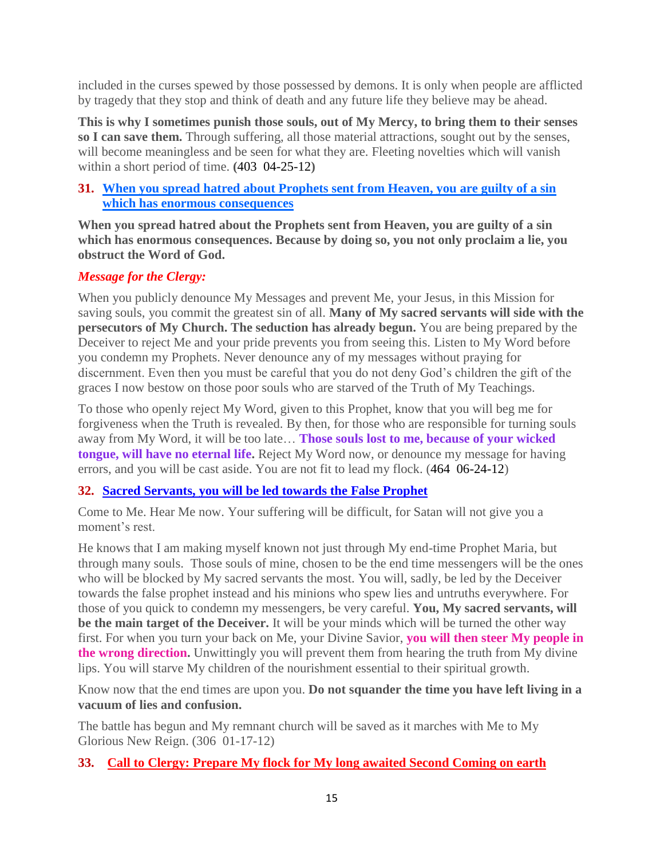included in the curses spewed by those possessed by demons. It is only when people are afflicted by tragedy that they stop and think of death and any future life they believe may be ahead.

**This is why I sometimes punish those souls, out of My Mercy, to bring them to their senses so I can save them.** Through suffering, all those material attractions, sought out by the senses, will become meaningless and be seen for what they are. Fleeting novelties which will vanish within a short period of time. **(**403 04-25-12**)**

# **31. [When you spread hatred about Prophets sent from Heaven,](http://www.thewarningsecondcoming.com/when-you-spread-hatred-about-prophets-sent-from-heaven-you-are-guilty-of-a-sin-which-has-enormous-consequences/) you are guilty of a sin [which has enormous consequences](http://www.thewarningsecondcoming.com/when-you-spread-hatred-about-prophets-sent-from-heaven-you-are-guilty-of-a-sin-which-has-enormous-consequences/)**

**When you spread hatred about the Prophets sent from Heaven, you are guilty of a sin which has enormous consequences. Because by doing so, you not only proclaim a lie, you obstruct the Word of God.**

# *Message for the Clergy:*

When you publicly denounce My Messages and prevent Me, your Jesus, in this Mission for saving souls, you commit the greatest sin of all. **Many of My sacred servants will side with the persecutors of My Church. The seduction has already begun.** You are being prepared by the Deceiver to reject Me and your pride prevents you from seeing this. Listen to My Word before you condemn my Prophets. Never denounce any of my messages without praying for discernment. Even then you must be careful that you do not deny God's children the gift of the graces I now bestow on those poor souls who are starved of the Truth of My Teachings.

To those who openly reject My Word, given to this Prophet, know that you will beg me for forgiveness when the Truth is revealed. By then, for those who are responsible for turning souls away from My Word, it will be too late… **Those souls lost to me, because of your wicked tongue, will have no eternal life.** Reject My Word now, or denounce my message for having errors, and you will be cast aside. You are not fit to lead my flock. (464 06-24-12)

# **32. Sacred Servants, you will be led towards the False Prophet**

Come to Me. Hear Me now. Your suffering will be difficult, for Satan will not give you a moment's rest.

He knows that I am making myself known not just through My end-time Prophet Maria, but through many souls. Those souls of mine, chosen to be the end time messengers will be the ones who will be blocked by My sacred servants the most. You will, sadly, be led by the Deceiver towards the false prophet instead and his minions who spew lies and untruths everywhere. For those of you quick to condemn my messengers, be very careful. **You, My sacred servants, will be the main target of the Deceiver.** It will be your minds which will be turned the other way first. For when you turn your back on Me, your Divine Savior, **you will then steer My people in the wrong direction.** Unwittingly you will prevent them from hearing the truth from My divine lips. You will starve My children of the nourishment essential to their spiritual growth.

Know now that the end times are upon you. **Do not squander the time you have left living in a vacuum of lies and confusion.**

The battle has begun and My remnant church will be saved as it marches with Me to My Glorious New Reign. (306 01-17-12)

# **33. [Call to Clergy: Prepare My flock for My long awaited Second Coming on earth](http://www.thewarningsecondcoming.com/call-to-clergy-prepare-my-flock-for-my-long-awaited-second-coming-on-earth/)**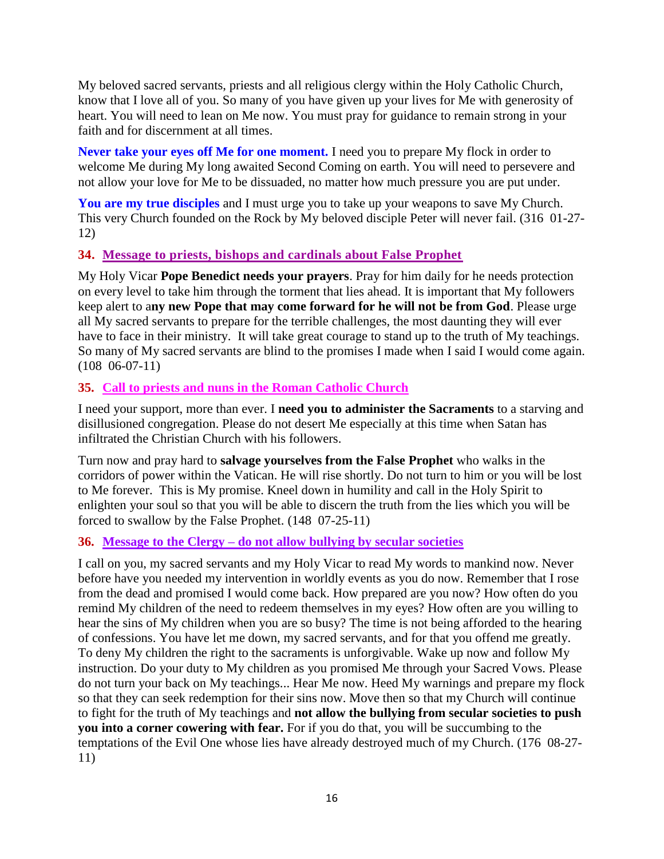My beloved sacred servants, priests and all religious clergy within the Holy Catholic Church, know that I love all of you. So many of you have given up your lives for Me with generosity of heart. You will need to lean on Me now. You must pray for guidance to remain strong in your faith and for discernment at all times.

**Never take your eyes off Me for one moment.** I need you to prepare My flock in order to welcome Me during My long awaited Second Coming on earth. You will need to persevere and not allow your love for Me to be dissuaded, no matter how much pressure you are put under.

**You are my true disciples** and I must urge you to take up your weapons to save My Church. This very Church founded on the Rock by My beloved disciple Peter will never fail. (316 01-27- 12)

# **34. [Message to priests, bishops and cardinals about False Prophet](http://www.thewarningsecondcoming.com/message-to-priests-bishops-and-cardinals-about-false-prophet/)**

My Holy Vicar **Pope Benedict needs your prayers**. Pray for him daily for he needs protection on every level to take him through the torment that lies ahead. It is important that My followers keep alert to a**ny new Pope that may come forward for he will not be from God**. Please urge all My sacred servants to prepare for the terrible challenges, the most daunting they will ever have to face in their ministry. It will take great courage to stand up to the truth of My teachings. So many of My sacred servants are blind to the promises I made when I said I would come again. (108 06-07-11)

## **35. [Call to priests and nuns in the Roman Catholic Church](http://www.thewarningsecondcoming.com/call-to-priests-and-nuns-in-the-roman-catholic-church/)**

I need your support, more than ever. I **need you to administer the Sacraments** to a starving and disillusioned congregation. Please do not desert Me especially at this time when Satan has infiltrated the Christian Church with his followers.

Turn now and pray hard to **salvage yourselves from the False Prophet** who walks in the corridors of power within the Vatican. He will rise shortly. Do not turn to him or you will be lost to Me forever. This is My promise. Kneel down in humility and call in the Holy Spirit to enlighten your soul so that you will be able to discern the truth from the lies which you will be forced to swallow by the False Prophet. (148 07-25-11)

## **36. Message to the Clergy – [do not allow bullying by](http://www.thewarningsecondcoming.com/message-to-the-clergy-do-not-allow-bullying-by-secular-societies/) secular societies**

I call on you, my sacred servants and my Holy Vicar to read My words to mankind now. Never before have you needed my intervention in worldly events as you do now. Remember that I rose from the dead and promised I would come back. How prepared are you now? How often do you remind My children of the need to redeem themselves in my eyes? How often are you willing to hear the sins of My children when you are so busy? The time is not being afforded to the hearing of confessions. You have let me down, my sacred servants, and for that you offend me greatly. To deny My children the right to the sacraments is unforgivable. Wake up now and follow My instruction. Do your duty to My children as you promised Me through your Sacred Vows. Please do not turn your back on My teachings... Hear Me now. Heed My warnings and prepare my flock so that they can seek redemption for their sins now. Move then so that my Church will continue to fight for the truth of My teachings and **not allow the bullying from secular societies to push you into a corner cowering with fear.** For if you do that, you will be succumbing to the temptations of the Evil One whose lies have already destroyed much of my Church. (176 08-27- 11)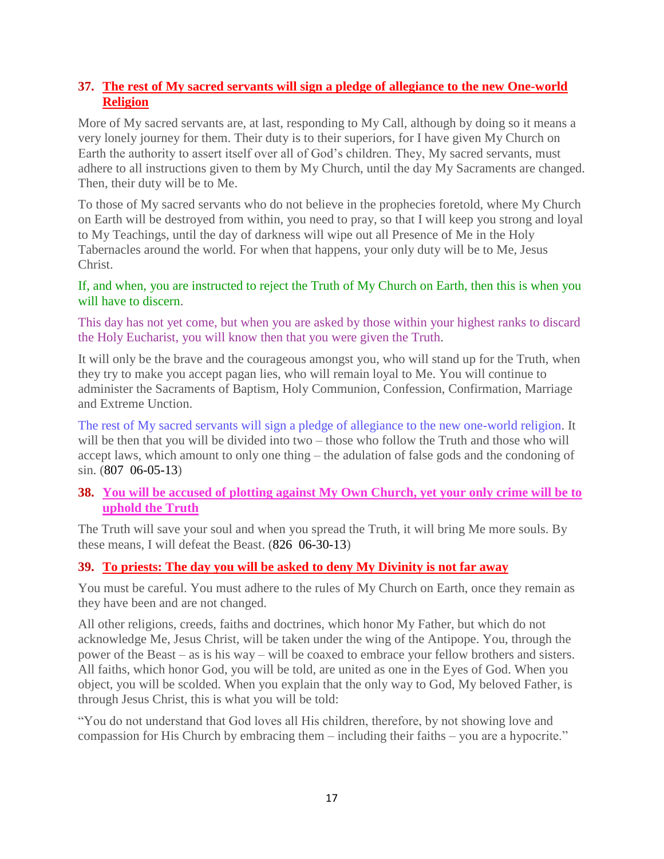# **37. [The rest of My sacred servants will sign a pledge of allegiance to the new One-world](http://www.thewarningsecondcoming.com/the-rest-of-my-sacred-servants-will-sign-a-pledge-of-allegiance-to-the-new-one-world-religion/)  [Religion](http://www.thewarningsecondcoming.com/the-rest-of-my-sacred-servants-will-sign-a-pledge-of-allegiance-to-the-new-one-world-religion/)**

More of My sacred servants are, at last, responding to My Call, although by doing so it means a very lonely journey for them. Their duty is to their superiors, for I have given My Church on Earth the authority to assert itself over all of God's children. They, My sacred servants, must adhere to all instructions given to them by My Church, until the day My Sacraments are changed. Then, their duty will be to Me.

To those of My sacred servants who do not believe in the prophecies foretold, where My Church on Earth will be destroyed from within, you need to pray, so that I will keep you strong and loyal to My Teachings, until the day of darkness will wipe out all Presence of Me in the Holy Tabernacles around the world. For when that happens, your only duty will be to Me, Jesus Christ.

#### If, and when, you are instructed to reject the Truth of My Church on Earth, then this is when you will have to discern.

This day has not yet come, but when you are asked by those within your highest ranks to discard the Holy Eucharist, you will know then that you were given the Truth.

It will only be the brave and the courageous amongst you, who will stand up for the Truth, when they try to make you accept pagan lies, who will remain loyal to Me. You will continue to administer the Sacraments of Baptism, Holy Communion, Confession, Confirmation, Marriage and Extreme Unction.

The rest of My sacred servants will sign a pledge of allegiance to the new one-world religion. It will be then that you will be divided into two – those who follow the Truth and those who will accept laws, which amount to only one thing – the adulation of false gods and the condoning of sin. (807 06-05-13)

# **38. [You will be accused of plotting against My Own Church, yet your only crime will be to](http://www.thewarningsecondcoming.com/you-will-be-accused-of-plotting-against-my-own-church-yet-your-only-crime-will-be-to-uphold-the-truth/)  [uphold the Truth](http://www.thewarningsecondcoming.com/you-will-be-accused-of-plotting-against-my-own-church-yet-your-only-crime-will-be-to-uphold-the-truth/)**

The Truth will save your soul and when you spread the Truth, it will bring Me more souls. By these means, I will defeat the Beast. (826 06-30-13)

# **39. [To priests: The day you will be asked to deny My Divinity is not far away](http://www.thewarningsecondcoming.com/to-priests-the-day-you-will-be-asked-to-deny-my-divinity-is-not-far-away/)**

You must be careful. You must adhere to the rules of My Church on Earth, once they remain as they have been and are not changed.

All other religions, creeds, faiths and doctrines, which honor My Father, but which do not acknowledge Me, Jesus Christ, will be taken under the wing of the Antipope. You, through the power of the Beast – as is his way – will be coaxed to embrace your fellow brothers and sisters. All faiths, which honor God, you will be told, are united as one in the Eyes of God. When you object, you will be scolded. When you explain that the only way to God, My beloved Father, is through Jesus Christ, this is what you will be told:

"You do not understand that God loves all His children, therefore, by not showing love and compassion for His Church by embracing them – including their faiths – you are a hypocrite."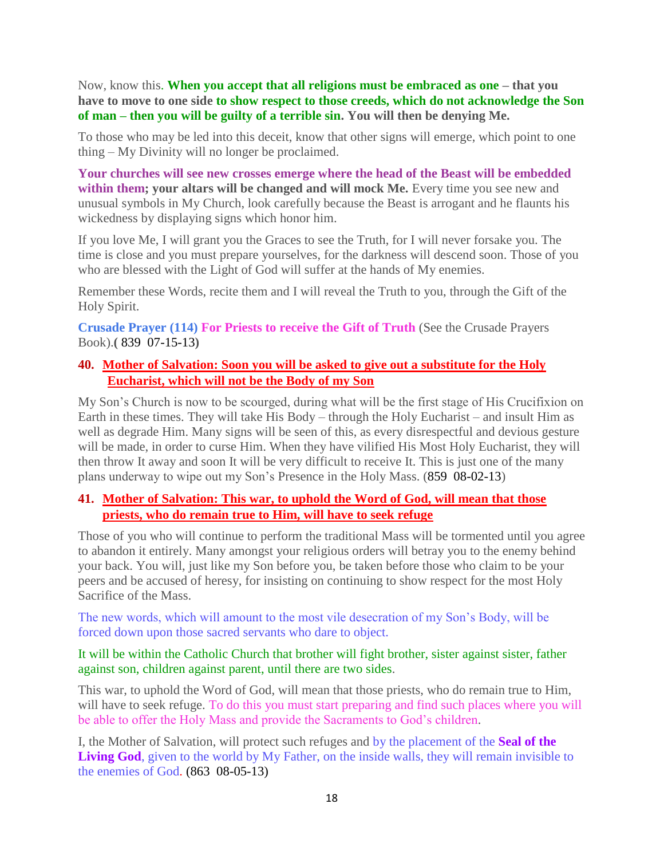Now, know this. **When you accept that all religions must be embraced as one – that you have to move to one side to show respect to those creeds, which do not acknowledge the Son of man – then you will be guilty of a terrible sin. You will then be denying Me.**

To those who may be led into this deceit, know that other signs will emerge, which point to one thing – My Divinity will no longer be proclaimed.

**Your churches will see new crosses emerge where the head of the Beast will be embedded within them; your altars will be changed and will mock Me.** Every time you see new and unusual symbols in My Church, look carefully because the Beast is arrogant and he flaunts his wickedness by displaying signs which honor him.

If you love Me, I will grant you the Graces to see the Truth, for I will never forsake you. The time is close and you must prepare yourselves, for the darkness will descend soon. Those of you who are blessed with the Light of God will suffer at the hands of My enemies.

Remember these Words, recite them and I will reveal the Truth to you, through the Gift of the Holy Spirit.

**Crusade Prayer (114) For Priests to receive the Gift of Truth** (See the Crusade Prayers Book).**(** 839 07-15-13**)**

# **40. [Mother of Salvation: Soon you will be asked to give out a substitute for the Holy](http://www.thewarningsecondcoming.com/mother-of-salvation-soon-you-will-be-asked-to-give-out-a-substitute-for-the-holy-eucharist-which-will-not-be-the-body-of-my-son/)  [Eucharist, which will not be the Body of my Son](http://www.thewarningsecondcoming.com/mother-of-salvation-soon-you-will-be-asked-to-give-out-a-substitute-for-the-holy-eucharist-which-will-not-be-the-body-of-my-son/)**

My Son's Church is now to be scourged, during what will be the first stage of His Crucifixion on Earth in these times. They will take His Body – through the Holy Eucharist – and insult Him as well as degrade Him. Many signs will be seen of this, as every disrespectful and devious gesture will be made, in order to curse Him. When they have vilified His Most Holy Eucharist, they will then throw It away and soon It will be very difficult to receive It. This is just one of the many plans underway to wipe out my Son's Presence in the Holy Mass. (859 08-02-13)

## **41. [Mother of Salvation: This war, to uphold the Word of God, will mean that those](http://www.thewarningsecondcoming.com/mother-of-salvation-this-war-to-uphold-the-word-of-god-will-mean-that-those-priests-who-do-remain-true-to-him-will-have-to-seek-refuge/)  [priests, who do remain true to Him, will have to seek refuge](http://www.thewarningsecondcoming.com/mother-of-salvation-this-war-to-uphold-the-word-of-god-will-mean-that-those-priests-who-do-remain-true-to-him-will-have-to-seek-refuge/)**

Those of you who will continue to perform the traditional Mass will be tormented until you agree to abandon it entirely. Many amongst your religious orders will betray you to the enemy behind your back. You will, just like my Son before you, be taken before those who claim to be your peers and be accused of heresy, for insisting on continuing to show respect for the most Holy Sacrifice of the Mass.

The new words, which will amount to the most vile desecration of my Son's Body, will be forced down upon those sacred servants who dare to object.

It will be within the Catholic Church that brother will fight brother, sister against sister, father against son, children against parent, until there are two sides.

This war, to uphold the Word of God, will mean that those priests, who do remain true to Him, will have to seek refuge. To do this you must start preparing and find such places where you will be able to offer the Holy Mass and provide the Sacraments to God's children.

I, the Mother of Salvation, will protect such refuges and by the placement of the **Seal of the Living God**, given to the world by My Father, on the inside walls, they will remain invisible to the enemies of God. (863 08-05-13)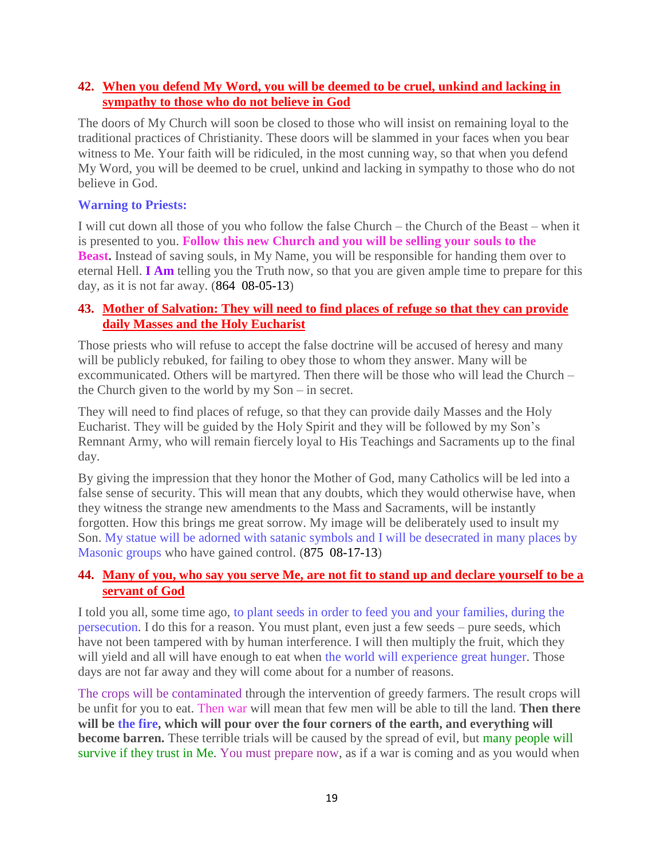## **42. [When you defend My Word, you will be deemed to be cruel, unkind and lacking in](http://www.thewarningsecondcoming.com/when-you-defend-my-word-you-will-be-deemed-to-be-cruel-unkind-and-lacking-in-sympathy-to-those-who-do-not-believe-in-god/)  [sympathy to those who do not believe in God](http://www.thewarningsecondcoming.com/when-you-defend-my-word-you-will-be-deemed-to-be-cruel-unkind-and-lacking-in-sympathy-to-those-who-do-not-believe-in-god/)**

The doors of My Church will soon be closed to those who will insist on remaining loyal to the traditional practices of Christianity. These doors will be slammed in your faces when you bear witness to Me. Your faith will be ridiculed, in the most cunning way, so that when you defend My Word, you will be deemed to be cruel, unkind and lacking in sympathy to those who do not believe in God.

#### **Warning to Priests:**

I will cut down all those of you who follow the false Church – the Church of the Beast – when it is presented to you. **Follow this new Church and you will be selling your souls to the Beast.** Instead of saving souls, in My Name, you will be responsible for handing them over to eternal Hell. **I Am** telling you the Truth now, so that you are given ample time to prepare for this day, as it is not far away. (864 08-05-13)

# **43. [Mother of Salvation: They will need to find places of refuge so that they can provide](http://www.thewarningsecondcoming.com/mother-of-salvation-they-will-need-to-find-places-of-refuge-so-that-they-can-provide-daily-masses-and-the-holy-eucharist/)  [daily Masses and the Holy Eucharist](http://www.thewarningsecondcoming.com/mother-of-salvation-they-will-need-to-find-places-of-refuge-so-that-they-can-provide-daily-masses-and-the-holy-eucharist/)**

Those priests who will refuse to accept the false doctrine will be accused of heresy and many will be publicly rebuked, for failing to obey those to whom they answer. Many will be excommunicated. Others will be martyred. Then there will be those who will lead the Church – the Church given to the world by my Son – in secret.

They will need to find places of refuge, so that they can provide daily Masses and the Holy Eucharist. They will be guided by the Holy Spirit and they will be followed by my Son's Remnant Army, who will remain fiercely loyal to His Teachings and Sacraments up to the final day.

By giving the impression that they honor the Mother of God, many Catholics will be led into a false sense of security. This will mean that any doubts, which they would otherwise have, when they witness the strange new amendments to the Mass and Sacraments, will be instantly forgotten. How this brings me great sorrow. My image will be deliberately used to insult my Son. My statue will be adorned with satanic symbols and I will be desecrated in many places by Masonic groups who have gained control. (875 08-17-13)

## **44. [Many of you, who say you serve Me, are not fit to stand up and declare yourself to be a](http://www.thewarningsecondcoming.com/many-of-you-who-say-you-serve-me-are-not-fit-to-stand-up-and-declare-yourself-to-be-a-servant-of-god/)  [servant of God](http://www.thewarningsecondcoming.com/many-of-you-who-say-you-serve-me-are-not-fit-to-stand-up-and-declare-yourself-to-be-a-servant-of-god/)**

I told you all, some time ago, to plant seeds in order to feed you and your families, during the persecution. I do this for a reason. You must plant, even just a few seeds – pure seeds, which have not been tampered with by human interference. I will then multiply the fruit, which they will yield and all will have enough to eat when the world will experience great hunger. Those days are not far away and they will come about for a number of reasons.

The crops will be contaminated through the intervention of greedy farmers. The result crops will be unfit for you to eat. Then war will mean that few men will be able to till the land. **Then there**  will be the fire, which will pour over the four corners of the earth, and everything will **become barren.** These terrible trials will be caused by the spread of evil, but many people will survive if they trust in Me. You must prepare now, as if a war is coming and as you would when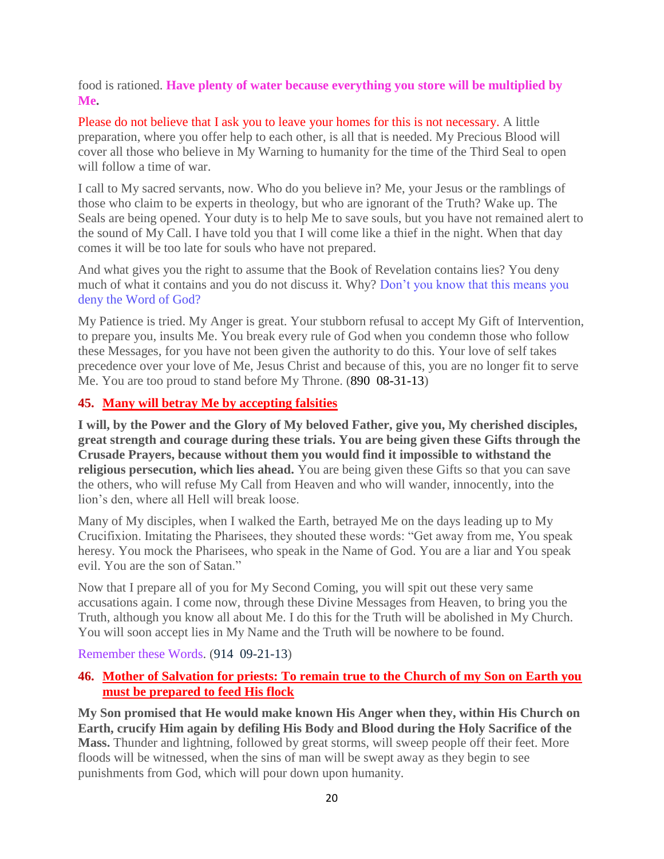food is rationed. **Have plenty of water because everything you store will be multiplied by Me.**

Please do not believe that I ask you to leave your homes for this is not necessary. A little preparation, where you offer help to each other, is all that is needed. My Precious Blood will cover all those who believe in My Warning to humanity for the time of the Third Seal to open will follow a time of war.

I call to My sacred servants, now. Who do you believe in? Me, your Jesus or the ramblings of those who claim to be experts in theology, but who are ignorant of the Truth? Wake up. The Seals are being opened. Your duty is to help Me to save souls, but you have not remained alert to the sound of My Call. I have told you that I will come like a thief in the night. When that day comes it will be too late for souls who have not prepared.

And what gives you the right to assume that the Book of Revelation contains lies? You deny much of what it contains and you do not discuss it. Why? Don't you know that this means you deny the Word of God?

My Patience is tried. My Anger is great. Your stubborn refusal to accept My Gift of Intervention, to prepare you, insults Me. You break every rule of God when you condemn those who follow these Messages, for you have not been given the authority to do this. Your love of self takes precedence over your love of Me, Jesus Christ and because of this, you are no longer fit to serve Me. You are too proud to stand before My Throne. (890 08-31-13)

## **45. [Many will betray Me by accepting falsities](http://www.thewarningsecondcoming.com/many-will-betray-me-by-accepting-falsities/)**

**I will, by the Power and the Glory of My beloved Father, give you, My cherished disciples, great strength and courage during these trials. You are being given these Gifts through the Crusade Prayers, because without them you would find it impossible to withstand the religious persecution, which lies ahead.** You are being given these Gifts so that you can save the others, who will refuse My Call from Heaven and who will wander, innocently, into the lion's den, where all Hell will break loose.

Many of My disciples, when I walked the Earth, betrayed Me on the days leading up to My Crucifixion. Imitating the Pharisees, they shouted these words: "Get away from me, You speak heresy. You mock the Pharisees, who speak in the Name of God. You are a liar and You speak evil. You are the son of Satan."

Now that I prepare all of you for My Second Coming, you will spit out these very same accusations again. I come now, through these Divine Messages from Heaven, to bring you the Truth, although you know all about Me. I do this for the Truth will be abolished in My Church. You will soon accept lies in My Name and the Truth will be nowhere to be found.

Remember these Words. (914 09-21-13)

# **46. [Mother of Salvation for priests: To remain true to the Church of my Son on Earth you](http://www.thewarningsecondcoming.com/mother-of-salvation-for-priests-to-remain-true-to-the-church-of-my-son-on-earth-you-must-be-prepared-to-feed-his-flock/)  [must be prepared to feed His flock](http://www.thewarningsecondcoming.com/mother-of-salvation-for-priests-to-remain-true-to-the-church-of-my-son-on-earth-you-must-be-prepared-to-feed-his-flock/)**

**My Son promised that He would make known His Anger when they, within His Church on Earth, crucify Him again by defiling His Body and Blood during the Holy Sacrifice of the Mass.** Thunder and lightning, followed by great storms, will sweep people off their feet. More floods will be witnessed, when the sins of man will be swept away as they begin to see punishments from God, which will pour down upon humanity.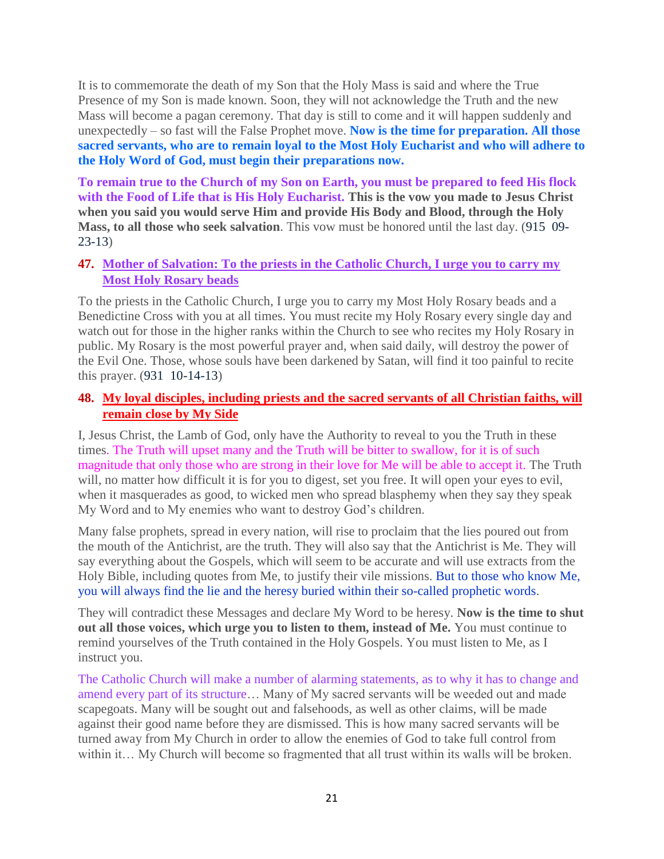It is to commemorate the death of my Son that the Holy Mass is said and where the True Presence of my Son is made known. Soon, they will not acknowledge the Truth and the new Mass will become a pagan ceremony. That day is still to come and it will happen suddenly and unexpectedly – so fast will the False Prophet move. **Now is the time for preparation. All those sacred servants, who are to remain loyal to the Most Holy Eucharist and who will adhere to the Holy Word of God, must begin their preparations now.**

**To remain true to the Church of my Son on Earth, you must be prepared to feed His flock with the Food of Life that is His Holy Eucharist. This is the vow you made to Jesus Christ when you said you would serve Him and provide His Body and Blood, through the Holy Mass, to all those who seek salvation**. This vow must be honored until the last day. (915 09- 23-13)

## **47. [Mother of Salvation: To the priests in the Catholic Church, I urge you to carry my](http://www.thewarningsecondcoming.com/mother-of-salvation-to-the-priests-in-the-catholic-church-i-urge-you-to-carry-my-most-holy-rosary-beads/)  [Most Holy Rosary beads](http://www.thewarningsecondcoming.com/mother-of-salvation-to-the-priests-in-the-catholic-church-i-urge-you-to-carry-my-most-holy-rosary-beads/)**

To the priests in the Catholic Church, I urge you to carry my Most Holy Rosary beads and a Benedictine Cross with you at all times. You must recite my Holy Rosary every single day and watch out for those in the higher ranks within the Church to see who recites my Holy Rosary in public. My Rosary is the most powerful prayer and, when said daily, will destroy the power of the Evil One. Those, whose souls have been darkened by Satan, will find it too painful to recite this prayer. (931 10-14-13)

# **48. [My loyal disciples, including priests and the sacred servants of all Christian faiths, will](http://www.thewarningsecondcoming.com/my-loyal-disciples-including-priests-and-the-sacred-servants-of-all-christian-faiths-will-remain-close-by-my-side/)  [remain close by My Side](http://www.thewarningsecondcoming.com/my-loyal-disciples-including-priests-and-the-sacred-servants-of-all-christian-faiths-will-remain-close-by-my-side/)**

I, Jesus Christ, the Lamb of God, only have the Authority to reveal to you the Truth in these times. The Truth will upset many and the Truth will be bitter to swallow, for it is of such magnitude that only those who are strong in their love for Me will be able to accept it. The Truth will, no matter how difficult it is for you to digest, set you free. It will open your eyes to evil, when it masquerades as good, to wicked men who spread blasphemy when they say they speak My Word and to My enemies who want to destroy God's children.

Many false prophets, spread in every nation, will rise to proclaim that the lies poured out from the mouth of the Antichrist, are the truth. They will also say that the Antichrist is Me. They will say everything about the Gospels, which will seem to be accurate and will use extracts from the Holy Bible, including quotes from Me, to justify their vile missions. But to those who know Me, you will always find the lie and the heresy buried within their so-called prophetic words.

They will contradict these Messages and declare My Word to be heresy. **Now is the time to shut out all those voices, which urge you to listen to them, instead of Me.** You must continue to remind yourselves of the Truth contained in the Holy Gospels. You must listen to Me, as I instruct you.

The Catholic Church will make a number of alarming statements, as to why it has to change and amend every part of its structure… Many of My sacred servants will be weeded out and made scapegoats. Many will be sought out and falsehoods, as well as other claims, will be made against their good name before they are dismissed. This is how many sacred servants will be turned away from My Church in order to allow the enemies of God to take full control from within it… My Church will become so fragmented that all trust within its walls will be broken.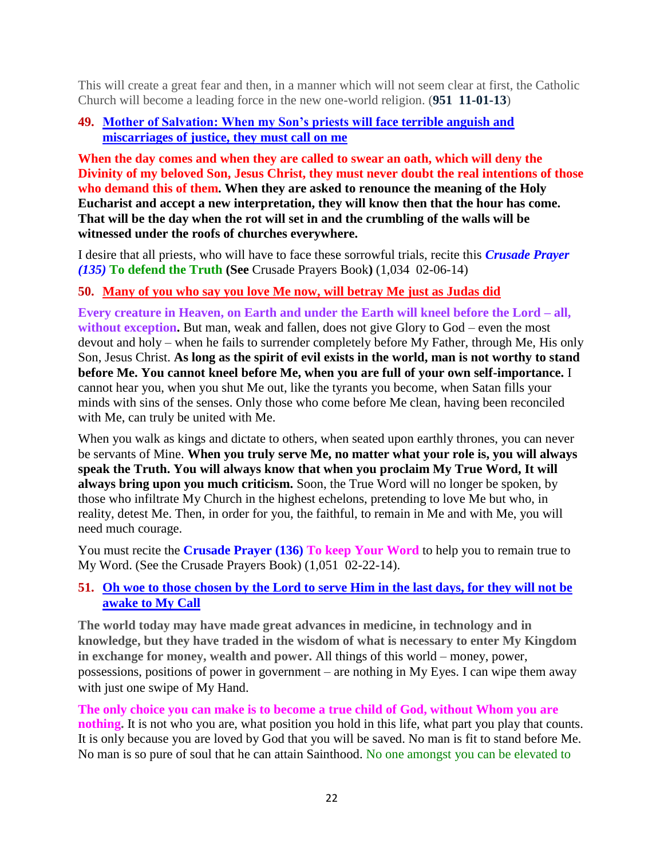This will create a great fear and then, in a manner which will not seem clear at first, the Catholic Church will become a leading force in the new one-world religion. (**951 11-01-13**)

# **49. [Mother of Salvation: When my Son's priests will](http://www.thewarningsecondcoming.com/mother-of-salvation-when-my-sons-priests-will-face-terrible-anguish-and-miscarriages-of-justice-they-must-call-on-me/) face terrible anguish and [miscarriages of justice, they must call on me](http://www.thewarningsecondcoming.com/mother-of-salvation-when-my-sons-priests-will-face-terrible-anguish-and-miscarriages-of-justice-they-must-call-on-me/)**

**When the day comes and when they are called to swear an oath, which will deny the Divinity of my beloved Son, Jesus Christ, they must never doubt the real intentions of those who demand this of them. When they are asked to renounce the meaning of the Holy Eucharist and accept a new interpretation, they will know then that the hour has come. That will be the day when the rot will set in and the crumbling of the walls will be witnessed under the roofs of churches everywhere.**

I desire that all priests, who will have to face these sorrowful trials, recite this *Crusade Prayer (135)* **To defend the Truth (See** Crusade Prayers Book**)** (1,034 02-06-14)

# **50. [Many of you who say you love Me now, will betray Me just as Judas did](http://www.thewarningsecondcoming.com/many-of-you-who-say-you-love-me-now-will-betray-me-just-as-judas-did/)**

**Every creature in Heaven, on Earth and under the Earth will kneel before the Lord – all,**  without exception. But man, weak and fallen, does not give Glory to God – even the most devout and holy – when he fails to surrender completely before My Father, through Me, His only Son, Jesus Christ. **As long as the spirit of evil exists in the world, man is not worthy to stand before Me. You cannot kneel before Me, when you are full of your own self-importance.** I cannot hear you, when you shut Me out, like the tyrants you become, when Satan fills your minds with sins of the senses. Only those who come before Me clean, having been reconciled with Me, can truly be united with Me.

When you walk as kings and dictate to others, when seated upon earthly thrones, you can never be servants of Mine. **When you truly serve Me, no matter what your role is, you will always speak the Truth. You will always know that when you proclaim My True Word, It will always bring upon you much criticism.** Soon, the True Word will no longer be spoken, by those who infiltrate My Church in the highest echelons, pretending to love Me but who, in reality, detest Me. Then, in order for you, the faithful, to remain in Me and with Me, you will need much courage.

You must recite the **Crusade Prayer (136) To keep Your Word** to help you to remain true to My Word. (See the Crusade Prayers Book) (1,051 02-22-14).

# **51. [Oh woe to those chosen by the Lord to serve Him in the last days, for they will not be](http://www.thewarningsecondcoming.com/oh-woe-to-those-chosen-by-the-lord-to-serve-him-in-the-last-days-for-they-will-not-be-awake-to-my-call/)  [awake to My Call](http://www.thewarningsecondcoming.com/oh-woe-to-those-chosen-by-the-lord-to-serve-him-in-the-last-days-for-they-will-not-be-awake-to-my-call/)**

**The world today may have made great advances in medicine, in technology and in knowledge, but they have traded in the wisdom of what is necessary to enter My Kingdom in exchange for money, wealth and power.** All things of this world – money, power, possessions, positions of power in government – are nothing in My Eyes. I can wipe them away with just one swipe of My Hand.

**The only choice you can make is to become a true child of God, without Whom you are nothing.** It is not who you are, what position you hold in this life, what part you play that counts. It is only because you are loved by God that you will be saved. No man is fit to stand before Me. No man is so pure of soul that he can attain Sainthood. No one amongst you can be elevated to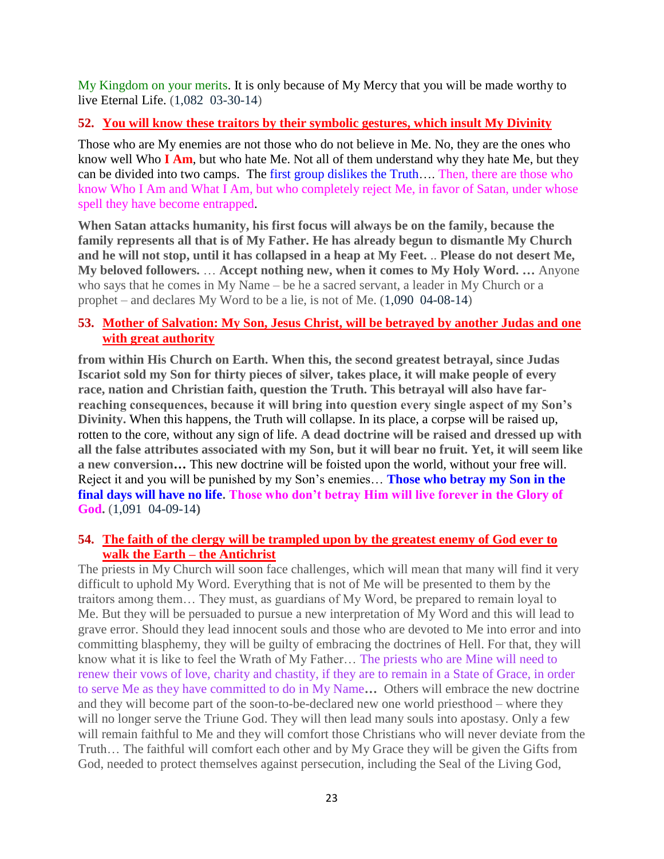My Kingdom on your merits. It is only because of My Mercy that you will be made worthy to live Eternal Life. (1,082 03-30-14)

#### **52. [You will know these traitors by their symbolic gestures, which insult My Divinity](http://www.thewarningsecondcoming.com/you-will-know-these-traitors-by-their-symbolic-gestures-which-insult-my-divinity/)**

Those who are My enemies are not those who do not believe in Me. No, they are the ones who know well Who **I Am**, but who hate Me. Not all of them understand why they hate Me, but they can be divided into two camps. The first group dislikes the Truth…. Then, there are those who know Who I Am and What I Am, but who completely reject Me, in favor of Satan, under whose spell they have become entrapped.

**When Satan attacks humanity, his first focus will always be on the family, because the family represents all that is of My Father. He has already begun to dismantle My Church and he will not stop, until it has collapsed in a heap at My Feet.** .. **Please do not desert Me, My beloved followers.** … **Accept nothing new, when it comes to My Holy Word. …** Anyone who says that he comes in My Name – be he a sacred servant, a leader in My Church or a prophet – and declares My Word to be a lie, is not of Me. (1,090 04-08-14)

## **53. [Mother of Salvation: My Son, Jesus Christ, will be betrayed by another Judas and one](http://www.thewarningsecondcoming.com/mother-of-salvation-my-son-jesus-christ-will-be-betrayed-by-another-judas-and-one-with-great-authority/)  [with great authority](http://www.thewarningsecondcoming.com/mother-of-salvation-my-son-jesus-christ-will-be-betrayed-by-another-judas-and-one-with-great-authority/)**

**from within His Church on Earth. When this, the second greatest betrayal, since Judas Iscariot sold my Son for thirty pieces of silver, takes place, it will make people of every race, nation and Christian faith, question the Truth. This betrayal will also have farreaching consequences, because it will bring into question every single aspect of my Son's Divinity.** When this happens, the Truth will collapse. In its place, a corpse will be raised up, rotten to the core, without any sign of life. **A dead doctrine will be raised and dressed up with all the false attributes associated with my Son, but it will bear no fruit. Yet, it will seem like a new conversion…** This new doctrine will be foisted upon the world, without your free will. Reject it and you will be punished by my Son's enemies… **Those who betray my Son in the final days will have no life. Those who don't betray Him will live forever in the Glory of God.** (1,091 04-09-14**)**

#### **54. [The faith of the clergy will be trampled upon by the greatest enemy of God ever to](http://www.thewarningsecondcoming.com/the-faith-of-the-clergy-will-be-trampled-upon-by-the-greatest-enemy-of-the-god-ever-to-walk-the-earth-the-antichrist/)  [walk the Earth –](http://www.thewarningsecondcoming.com/the-faith-of-the-clergy-will-be-trampled-upon-by-the-greatest-enemy-of-the-god-ever-to-walk-the-earth-the-antichrist/) the Antichrist**

The priests in My Church will soon face challenges, which will mean that many will find it very difficult to uphold My Word. Everything that is not of Me will be presented to them by the traitors among them… They must, as guardians of My Word, be prepared to remain loyal to Me. But they will be persuaded to pursue a new interpretation of My Word and this will lead to grave error. Should they lead innocent souls and those who are devoted to Me into error and into committing blasphemy, they will be guilty of embracing the doctrines of Hell. For that, they will know what it is like to feel the Wrath of My Father… The priests who are Mine will need to renew their vows of love, charity and chastity, if they are to remain in a State of Grace, in order to serve Me as they have committed to do in My Name**…** Others will embrace the new doctrine and they will become part of the soon-to-be-declared new one world priesthood – where they will no longer serve the Triune God. They will then lead many souls into apostasy. Only a few will remain faithful to Me and they will comfort those Christians who will never deviate from the Truth… The faithful will comfort each other and by My Grace they will be given the Gifts from God, needed to protect themselves against persecution, including the Seal of the Living God,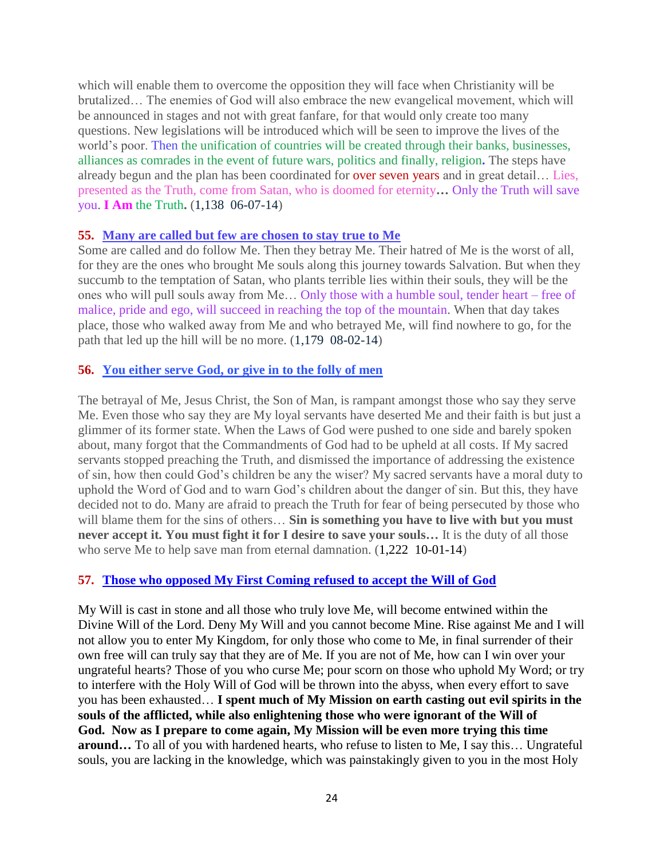which will enable them to overcome the opposition they will face when Christianity will be brutalized… The enemies of God will also embrace the new evangelical movement, which will be announced in stages and not with great fanfare, for that would only create too many questions. New legislations will be introduced which will be seen to improve the lives of the world's poor. Then the unification of countries will be created through their banks, businesses, alliances as comrades in the event of future wars, politics and finally, religion**.** The steps have already begun and the plan has been coordinated for over seven years and in great detail… Lies, presented as the Truth, come from Satan, who is doomed for eternity**…** Only the Truth will save you. **I Am** the Truth**.** (1,138 06-07-14)

#### **55. [Many are called but few are chosen to stay true to Me](http://www.thewarningsecondcoming.com/many-are-called-but-few-are-chosen-to-stay-true-to-me/)**

Some are called and do follow Me. Then they betray Me. Their hatred of Me is the worst of all, for they are the ones who brought Me souls along this journey towards Salvation. But when they succumb to the temptation of Satan, who plants terrible lies within their souls, they will be the ones who will pull souls away from Me… Only those with a humble soul, tender heart – free of malice, pride and ego, will succeed in reaching the top of the mountain. When that day takes place, those who walked away from Me and who betrayed Me, will find nowhere to go, for the path that led up the hill will be no more. (1,179 08-02-14)

## **56. [You either serve God, or give in to the folly of men](http://www.thewarningsecondcoming.com/you-either-serve-god-or-give-in-to-the-folly-of-men/)**

The betrayal of Me, Jesus Christ, the Son of Man, is rampant amongst those who say they serve Me. Even those who say they are My loyal servants have deserted Me and their faith is but just a glimmer of its former state. When the Laws of God were pushed to one side and barely spoken about, many forgot that the Commandments of God had to be upheld at all costs. If My sacred servants stopped preaching the Truth, and dismissed the importance of addressing the existence of sin, how then could God's children be any the wiser? My sacred servants have a moral duty to uphold the Word of God and to warn God's children about the danger of sin. But this, they have decided not to do. Many are afraid to preach the Truth for fear of being persecuted by those who will blame them for the sins of others… **Sin is something you have to live with but you must never accept it. You must fight it for I desire to save your souls…** It is the duty of all those who serve Me to help save man from eternal damnation.  $(1,222 \ 10-01-14)$ 

## **57. [Those who opposed My First Coming refused to accept the Will of God](http://www.thewarningsecondcoming.com/those-who-opposed-my-first-coming-refused-to-accept-the-will-of-god/)**

My Will is cast in stone and all those who truly love Me, will become entwined within the Divine Will of the Lord. Deny My Will and you cannot become Mine. Rise against Me and I will not allow you to enter My Kingdom, for only those who come to Me, in final surrender of their own free will can truly say that they are of Me. If you are not of Me, how can I win over your ungrateful hearts? Those of you who curse Me; pour scorn on those who uphold My Word; or try to interfere with the Holy Will of God will be thrown into the abyss, when every effort to save you has been exhausted… **I spent much of My Mission on earth casting out evil spirits in the souls of the afflicted, while also enlightening those who were ignorant of the Will of God. Now as I prepare to come again, My Mission will be even more trying this time around…** To all of you with hardened hearts, who refuse to listen to Me, I say this… Ungrateful souls, you are lacking in the knowledge, which was painstakingly given to you in the most Holy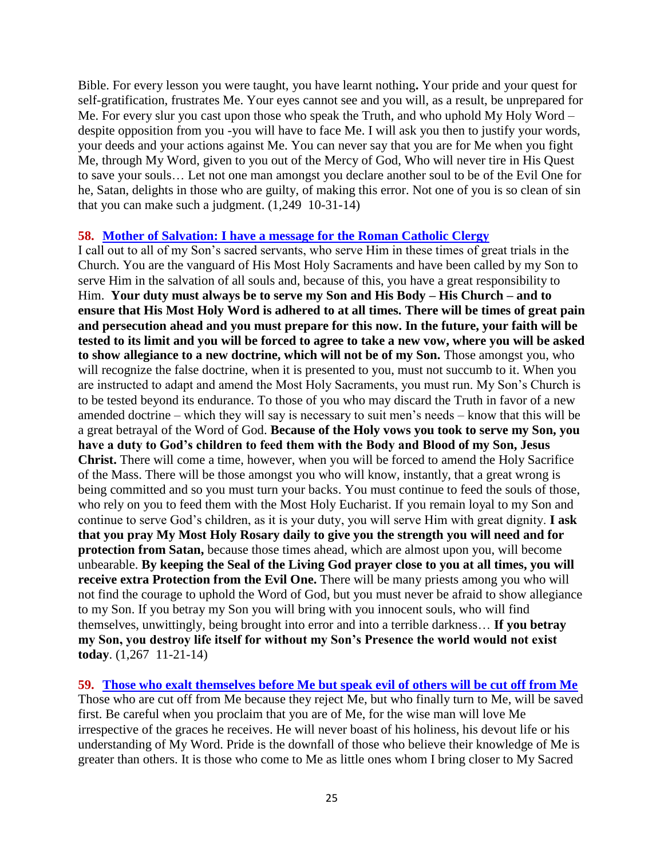Bible. For every lesson you were taught, you have learnt nothing**.** Your pride and your quest for self-gratification, frustrates Me. Your eyes cannot see and you will, as a result, be unprepared for Me. For every slur you cast upon those who speak the Truth, and who uphold My Holy Word – despite opposition from you -you will have to face Me. I will ask you then to justify your words, your deeds and your actions against Me. You can never say that you are for Me when you fight Me, through My Word, given to you out of the Mercy of God, Who will never tire in His Quest to save your souls… Let not one man amongst you declare another soul to be of the Evil One for he, Satan, delights in those who are guilty, of making this error. Not one of you is so clean of sin that you can make such a judgment. (1,249 10-31-14)

#### **58. [Mother of Salvation: I have a message for the Roman Catholic Clergy](http://www.thewarningsecondcoming.com/mother-of-salvation-i-have-a-message-for-the-roman-catholic-clergy/)**

I call out to all of my Son's sacred servants, who serve Him in these times of great trials in the Church. You are the vanguard of His Most Holy Sacraments and have been called by my Son to serve Him in the salvation of all souls and, because of this, you have a great responsibility to Him. **Your duty must always be to serve my Son and His Body – His Church – and to ensure that His Most Holy Word is adhered to at all times. There will be times of great pain and persecution ahead and you must prepare for this now. In the future, your faith will be tested to its limit and you will be forced to agree to take a new vow, where you will be asked to show allegiance to a new doctrine, which will not be of my Son.** Those amongst you, who will recognize the false doctrine, when it is presented to you, must not succumb to it. When you are instructed to adapt and amend the Most Holy Sacraments, you must run. My Son's Church is to be tested beyond its endurance. To those of you who may discard the Truth in favor of a new amended doctrine – which they will say is necessary to suit men's needs – know that this will be a great betrayal of the Word of God. **Because of the Holy vows you took to serve my Son, you have a duty to God's children to feed them with the Body and Blood of my Son, Jesus Christ.** There will come a time, however, when you will be forced to amend the Holy Sacrifice of the Mass. There will be those amongst you who will know, instantly, that a great wrong is being committed and so you must turn your backs. You must continue to feed the souls of those, who rely on you to feed them with the Most Holy Eucharist. If you remain loyal to my Son and continue to serve God's children, as it is your duty, you will serve Him with great dignity. **I ask that you pray My Most Holy Rosary daily to give you the strength you will need and for protection from Satan,** because those times ahead, which are almost upon you, will become unbearable. **By keeping the Seal of the Living God prayer close to you at all times, you will receive extra Protection from the Evil One.** There will be many priests among you who will not find the courage to uphold the Word of God, but you must never be afraid to show allegiance to my Son. If you betray my Son you will bring with you innocent souls, who will find themselves, unwittingly, being brought into error and into a terrible darkness… **If you betray my Son, you destroy life itself for without my Son's Presence the world would not exist today**. (1,267 11-21-14)

**59. [Those who exalt themselves before Me but speak evil of others will be cut off from Me](http://www.thewarningsecondcoming.com/those-who-exalt-themselves-before-me-but-speak-evil-of-others-will-be-cut-off-from-me/)** Those who are cut off from Me because they reject Me, but who finally turn to Me, will be saved first. Be careful when you proclaim that you are of Me, for the wise man will love Me irrespective of the graces he receives. He will never boast of his holiness, his devout life or his understanding of My Word. Pride is the downfall of those who believe their knowledge of Me is greater than others. It is those who come to Me as little ones whom I bring closer to My Sacred